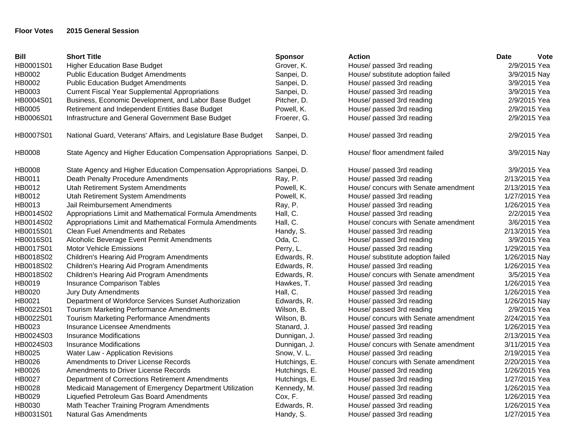## **Floor Votes 2015 General Session**

| <b>Bill</b> | <b>Short Title</b>                                                       | <b>Sponsor</b> | <b>Action</b>                        | <b>Date</b><br><b>Vote</b> |
|-------------|--------------------------------------------------------------------------|----------------|--------------------------------------|----------------------------|
| HB0001S01   | <b>Higher Education Base Budget</b>                                      | Grover, K.     | House/ passed 3rd reading            | 2/9/2015 Yea               |
| HB0002      | <b>Public Education Budget Amendments</b>                                | Sanpei, D.     | House/ substitute adoption failed    | 3/9/2015 Nay               |
| HB0002      | <b>Public Education Budget Amendments</b>                                | Sanpei, D.     | House/ passed 3rd reading            | 3/9/2015 Yea               |
| HB0003      | <b>Current Fiscal Year Supplemental Appropriations</b>                   | Sanpei, D.     | House/ passed 3rd reading            | 3/9/2015 Yea               |
| HB0004S01   | Business, Economic Development, and Labor Base Budget                    | Pitcher, D.    | House/ passed 3rd reading            | 2/9/2015 Yea               |
| HB0005      | Retirement and Independent Entities Base Budget                          | Powell, K.     | House/ passed 3rd reading            | 2/9/2015 Yea               |
| HB0006S01   | Infrastructure and General Government Base Budget                        | Froerer, G.    | House/ passed 3rd reading            | 2/9/2015 Yea               |
| HB0007S01   | National Guard, Veterans' Affairs, and Legislature Base Budget           | Sanpei, D.     | House/ passed 3rd reading            | 2/9/2015 Yea               |
| HB0008      | State Agency and Higher Education Compensation Appropriations Sanpei, D. |                | House/ floor amendment failed        | 3/9/2015 Nay               |
| HB0008      | State Agency and Higher Education Compensation Appropriations Sanpei, D. |                | House/ passed 3rd reading            | 3/9/2015 Yea               |
| HB0011      | Death Penalty Procedure Amendments                                       | Ray, P.        | House/ passed 3rd reading            | 2/13/2015 Yea              |
| HB0012      | Utah Retirement System Amendments                                        | Powell, K.     | House/ concurs with Senate amendment | 2/13/2015 Yea              |
| HB0012      | Utah Retirement System Amendments                                        | Powell, K.     | House/ passed 3rd reading            | 1/27/2015 Yea              |
| HB0013      | Jail Reimbursement Amendments                                            | Ray, P.        | House/ passed 3rd reading            | 1/26/2015 Yea              |
| HB0014S02   | Appropriations Limit and Mathematical Formula Amendments                 | Hall, C.       | House/ passed 3rd reading            | 2/2/2015 Yea               |
| HB0014S02   | Appropriations Limit and Mathematical Formula Amendments                 | Hall, C.       | House/ concurs with Senate amendment | 3/6/2015 Yea               |
| HB0015S01   | Clean Fuel Amendments and Rebates                                        | Handy, S.      | House/ passed 3rd reading            | 2/13/2015 Yea              |
| HB0016S01   | Alcoholic Beverage Event Permit Amendments                               | Oda, C.        | House/ passed 3rd reading            | 3/9/2015 Yea               |
| HB0017S01   | Motor Vehicle Emissions                                                  | Perry, L.      | House/ passed 3rd reading            | 1/29/2015 Yea              |
| HB0018S02   | Children's Hearing Aid Program Amendments                                | Edwards, R.    | House/ substitute adoption failed    | 1/26/2015 Nay              |
| HB0018S02   | Children's Hearing Aid Program Amendments                                | Edwards, R.    | House/ passed 3rd reading            | 1/26/2015 Yea              |
| HB0018S02   | Children's Hearing Aid Program Amendments                                | Edwards, R.    | House/ concurs with Senate amendment | 3/5/2015 Yea               |
| HB0019      | Insurance Comparison Tables                                              | Hawkes, T.     | House/ passed 3rd reading            | 1/26/2015 Yea              |
| HB0020      | <b>Jury Duty Amendments</b>                                              | Hall, C.       | House/ passed 3rd reading            | 1/26/2015 Yea              |
| HB0021      | Department of Workforce Services Sunset Authorization                    | Edwards, R.    | House/ passed 3rd reading            | 1/26/2015 Nay              |
| HB0022S01   | Tourism Marketing Performance Amendments                                 | Wilson, B.     | House/ passed 3rd reading            | 2/9/2015 Yea               |
| HB0022S01   | Tourism Marketing Performance Amendments                                 | Wilson, B.     | House/ concurs with Senate amendment | 2/24/2015 Yea              |
| HB0023      | Insurance Licensee Amendments                                            | Stanard, J.    | House/ passed 3rd reading            | 1/26/2015 Yea              |
| HB0024S03   | Insurance Modifications                                                  | Dunnigan, J.   | House/ passed 3rd reading            | 2/13/2015 Yea              |
| HB0024S03   | Insurance Modifications                                                  | Dunnigan, J.   | House/ concurs with Senate amendment | 3/11/2015 Yea              |
| HB0025      | Water Law - Application Revisions                                        | Snow, V.L.     | House/ passed 3rd reading            | 2/19/2015 Yea              |
| HB0026      | Amendments to Driver License Records                                     | Hutchings, E.  | House/ concurs with Senate amendment | 2/20/2015 Yea              |
| HB0026      | Amendments to Driver License Records                                     | Hutchings, E.  | House/ passed 3rd reading            | 1/26/2015 Yea              |
| HB0027      | Department of Corrections Retirement Amendments                          | Hutchings, E.  | House/ passed 3rd reading            | 1/27/2015 Yea              |
| HB0028      | Medicaid Management of Emergency Department Utilization                  | Kennedy, M.    | House/ passed 3rd reading            | 1/26/2015 Yea              |
| HB0029      | Liquefied Petroleum Gas Board Amendments                                 | Cox, F.        | House/ passed 3rd reading            | 1/26/2015 Yea              |
| HB0030      | Math Teacher Training Program Amendments                                 | Edwards, R.    | House/ passed 3rd reading            | 1/26/2015 Yea              |
| HB0031S01   | <b>Natural Gas Amendments</b>                                            | Handy, S.      | House/ passed 3rd reading            | 1/27/2015 Yea              |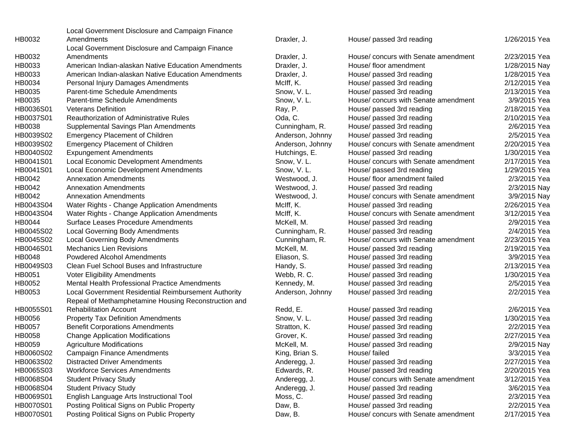|           | Local Government Disclosure and Campaign Finance     |                  |                                      |               |
|-----------|------------------------------------------------------|------------------|--------------------------------------|---------------|
| HB0032    | Amendments                                           | Draxler, J.      | House/ passed 3rd reading            | 1/26/2015 Yea |
|           | Local Government Disclosure and Campaign Finance     |                  |                                      |               |
| HB0032    | Amendments                                           | Draxler, J.      | House/concurs with Senate amendment  | 2/23/2015 Yea |
| HB0033    | American Indian-alaskan Native Education Amendments  | Draxler, J.      | House/ floor amendment               | 1/28/2015 Nay |
| HB0033    | American Indian-alaskan Native Education Amendments  | Draxler, J.      | House/ passed 3rd reading            | 1/28/2015 Yea |
| HB0034    | Personal Injury Damages Amendments                   | McIff, K.        | House/ passed 3rd reading            | 2/12/2015 Yea |
| HB0035    | Parent-time Schedule Amendments                      | Snow, V.L.       | House/ passed 3rd reading            | 2/13/2015 Yea |
| HB0035    | Parent-time Schedule Amendments                      | Snow, V.L.       | House/ concurs with Senate amendment | 3/9/2015 Yea  |
| HB0036S01 | <b>Veterans Definition</b>                           | Ray, P.          | House/ passed 3rd reading            | 2/18/2015 Yea |
| HB0037S01 | Reauthorization of Administrative Rules              | Oda, C.          | House/ passed 3rd reading            | 2/10/2015 Yea |
| HB0038    | Supplemental Savings Plan Amendments                 | Cunningham, R.   | House/ passed 3rd reading            | 2/6/2015 Yea  |
| HB0039S02 | <b>Emergency Placement of Children</b>               | Anderson, Johnny | House/ passed 3rd reading            | 2/5/2015 Yea  |
| HB0039S02 | <b>Emergency Placement of Children</b>               | Anderson, Johnny | House/ concurs with Senate amendment | 2/20/2015 Yea |
| HB0040S02 | <b>Expungement Amendments</b>                        | Hutchings, E.    | House/ passed 3rd reading            | 1/30/2015 Yea |
| HB0041S01 | Local Economic Development Amendments                | Snow, V.L.       | House/ concurs with Senate amendment | 2/17/2015 Yea |
| HB0041S01 | Local Economic Development Amendments                | Snow, V.L.       | House/ passed 3rd reading            | 1/29/2015 Yea |
| HB0042    | <b>Annexation Amendments</b>                         | Westwood, J.     | House/ floor amendment failed        | 2/3/2015 Yea  |
| HB0042    | <b>Annexation Amendments</b>                         | Westwood, J.     | House/ passed 3rd reading            | 2/3/2015 Nay  |
| HB0042    | <b>Annexation Amendments</b>                         | Westwood, J.     | House/ concurs with Senate amendment | 3/9/2015 Nay  |
| HB0043S04 | Water Rights - Change Application Amendments         | McIff, K.        | House/ passed 3rd reading            | 2/26/2015 Yea |
| HB0043S04 | Water Rights - Change Application Amendments         | McIff, K.        | House/ concurs with Senate amendment | 3/12/2015 Yea |
| HB0044    | <b>Surface Leases Procedure Amendments</b>           | McKell, M.       | House/ passed 3rd reading            | 2/9/2015 Yea  |
| HB0045S02 | <b>Local Governing Body Amendments</b>               | Cunningham, R.   | House/ passed 3rd reading            | 2/4/2015 Yea  |
| HB0045S02 | <b>Local Governing Body Amendments</b>               | Cunningham, R.   | House/ concurs with Senate amendment | 2/23/2015 Yea |
| HB0046S01 | <b>Mechanics Lien Revisions</b>                      | McKell, M.       | House/ passed 3rd reading            | 2/19/2015 Yea |
| HB0048    | <b>Powdered Alcohol Amendments</b>                   | Eliason, S.      | House/ passed 3rd reading            | 3/9/2015 Yea  |
| HB0049S03 | Clean Fuel School Buses and Infrastructure           | Handy, S.        | House/ passed 3rd reading            | 2/13/2015 Yea |
| HB0051    | <b>Voter Eligibility Amendments</b>                  | Webb, R.C.       | House/ passed 3rd reading            | 1/30/2015 Yea |
| HB0052    | Mental Health Professional Practice Amendments       | Kennedy, M.      | House/ passed 3rd reading            | 2/5/2015 Yea  |
| HB0053    | Local Government Residential Reimbursement Authority | Anderson, Johnny | House/ passed 3rd reading            | 2/2/2015 Yea  |
|           | Repeal of Methamphetamine Housing Reconstruction and |                  |                                      |               |
| HB0055S01 | <b>Rehabilitation Account</b>                        | Redd, E.         | House/ passed 3rd reading            | 2/6/2015 Yea  |
| HB0056    | <b>Property Tax Definition Amendments</b>            | Snow, V.L.       | House/ passed 3rd reading            | 1/30/2015 Yea |
| HB0057    | <b>Benefit Corporations Amendments</b>               | Stratton, K.     | House/ passed 3rd reading            | 2/2/2015 Yea  |
| HB0058    | <b>Change Application Modifications</b>              | Grover, K.       | House/ passed 3rd reading            | 2/27/2015 Yea |
| HB0059    | <b>Agriculture Modifications</b>                     | McKell, M.       | House/ passed 3rd reading            | 2/9/2015 Nay  |
| HB0060S02 | <b>Campaign Finance Amendments</b>                   | King, Brian S.   | House/ failed                        | 3/3/2015 Yea  |
| HB0063S02 | <b>Distracted Driver Amendments</b>                  | Anderegg, J.     | House/ passed 3rd reading            | 2/27/2015 Yea |
| HB0065S03 | <b>Workforce Services Amendments</b>                 | Edwards, R.      | House/ passed 3rd reading            | 2/20/2015 Yea |
| HB0068S04 | <b>Student Privacy Study</b>                         | Anderegg, J.     | House/ concurs with Senate amendment | 3/12/2015 Yea |
| HB0068S04 | <b>Student Privacy Study</b>                         | Anderegg, J.     | House/ passed 3rd reading            | 3/6/2015 Yea  |
| HB0069S01 | English Language Arts Instructional Tool             | Moss, C.         | House/ passed 3rd reading            | 2/3/2015 Yea  |
| HB0070S01 | Posting Political Signs on Public Property           | Daw, B.          | House/ passed 3rd reading            | 2/2/2015 Yea  |
| HB0070S01 | Posting Political Signs on Public Property           | Daw, B.          | House/ concurs with Senate amendment | 2/17/2015 Yea |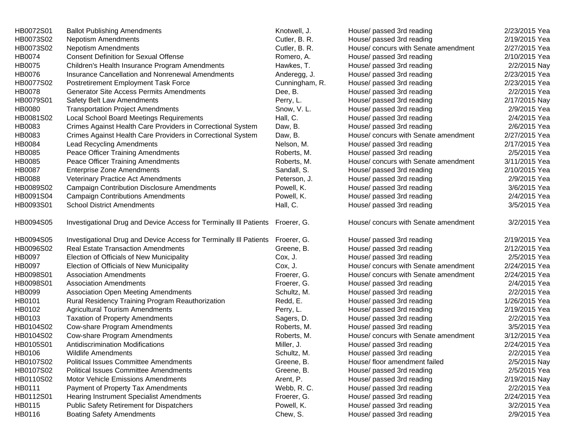| HB0072S01     | <b>Ballot Publishing Amendments</b>                                            | Knotwell, J.   | House/ passed 3rd reading            | 2/23/2015 Yea |
|---------------|--------------------------------------------------------------------------------|----------------|--------------------------------------|---------------|
| HB0073S02     | <b>Nepotism Amendments</b>                                                     | Cutler, B. R.  | House/ passed 3rd reading            | 2/19/2015 Yea |
| HB0073S02     | <b>Nepotism Amendments</b>                                                     | Cutler, B. R.  | House/ concurs with Senate amendment | 2/27/2015 Yea |
| HB0074        | <b>Consent Definition for Sexual Offense</b>                                   | Romero, A.     | House/ passed 3rd reading            | 2/10/2015 Yea |
| HB0075        | Children's Health Insurance Program Amendments                                 | Hawkes, T.     | House/ passed 3rd reading            | 2/2/2015 Nay  |
| HB0076        | Insurance Cancellation and Nonrenewal Amendments                               | Anderegg, J.   | House/ passed 3rd reading            | 2/23/2015 Yea |
| HB0077S02     | Postretirement Employment Task Force                                           | Cunningham, R. | House/ passed 3rd reading            | 2/23/2015 Yea |
| <b>HB0078</b> | <b>Generator Site Access Permits Amendments</b>                                | Dee, B.        | House/ passed 3rd reading            | 2/2/2015 Yea  |
| HB0079S01     | Safety Belt Law Amendments                                                     | Perry, L.      | House/ passed 3rd reading            | 2/17/2015 Nay |
| <b>HB0080</b> | <b>Transportation Project Amendments</b>                                       | Snow, V.L.     | House/ passed 3rd reading            | 2/9/2015 Yea  |
| HB0081S02     | <b>Local School Board Meetings Requirements</b>                                | Hall, C.       | House/ passed 3rd reading            | 2/4/2015 Yea  |
| HB0083        | Crimes Against Health Care Providers in Correctional System                    | Daw, B.        | House/ passed 3rd reading            | 2/6/2015 Yea  |
| HB0083        | Crimes Against Health Care Providers in Correctional System                    | Daw, B.        | House/ concurs with Senate amendment | 2/27/2015 Yea |
| HB0084        | <b>Lead Recycling Amendments</b>                                               | Nelson, M.     | House/ passed 3rd reading            | 2/17/2015 Yea |
| HB0085        | Peace Officer Training Amendments                                              | Roberts, M.    | House/ passed 3rd reading            | 2/5/2015 Yea  |
| HB0085        | Peace Officer Training Amendments                                              | Roberts, M.    | House/ concurs with Senate amendment | 3/11/2015 Yea |
| HB0087        | <b>Enterprise Zone Amendments</b>                                              | Sandall, S.    | House/ passed 3rd reading            | 2/10/2015 Yea |
| <b>HB0088</b> | Veterinary Practice Act Amendments                                             | Peterson, J.   | House/ passed 3rd reading            | 2/9/2015 Yea  |
| HB0089S02     | <b>Campaign Contribution Disclosure Amendments</b>                             | Powell, K.     | House/ passed 3rd reading            | 3/6/2015 Yea  |
| HB0091S04     | <b>Campaign Contributions Amendments</b>                                       | Powell, K.     | House/ passed 3rd reading            | 2/4/2015 Yea  |
| HB0093S01     | <b>School District Amendments</b>                                              | Hall, C.       | House/ passed 3rd reading            | 3/5/2015 Yea  |
| HB0094S05     | Investigational Drug and Device Access for Terminally III Patients Froerer, G. |                | House/ concurs with Senate amendment | 3/2/2015 Yea  |
| HB0094S05     | Investigational Drug and Device Access for Terminally III Patients             | Froerer, G.    | House/ passed 3rd reading            | 2/19/2015 Yea |
| HB0096S02     | <b>Real Estate Transaction Amendments</b>                                      | Greene, B.     | House/ passed 3rd reading            | 2/12/2015 Yea |
| HB0097        | Election of Officials of New Municipality                                      | Cox, J.        | House/ passed 3rd reading            | 2/5/2015 Yea  |
| <b>HB0097</b> | Election of Officials of New Municipality                                      | Cox, J.        | House/ concurs with Senate amendment | 2/24/2015 Yea |
| HB0098S01     | <b>Association Amendments</b>                                                  | Froerer, G.    | House/ concurs with Senate amendment | 2/24/2015 Yea |
| HB0098S01     | <b>Association Amendments</b>                                                  | Froerer, G.    | House/ passed 3rd reading            | 2/4/2015 Yea  |
| HB0099        | <b>Association Open Meeting Amendments</b>                                     | Schultz, M.    | House/ passed 3rd reading            | 2/2/2015 Yea  |
| HB0101        | Rural Residency Training Program Reauthorization                               | Redd, E.       | House/ passed 3rd reading            | 1/26/2015 Yea |
| HB0102        | <b>Agricultural Tourism Amendments</b>                                         | Perry, L.      | House/ passed 3rd reading            | 2/19/2015 Yea |
| HB0103        | <b>Taxation of Property Amendments</b>                                         | Sagers, D.     | House/ passed 3rd reading            | 2/2/2015 Yea  |
| HB0104S02     | Cow-share Program Amendments                                                   | Roberts, M.    | House/ passed 3rd reading            | 3/5/2015 Yea  |
| HB0104S02     | Cow-share Program Amendments                                                   | Roberts, M.    | House/ concurs with Senate amendment | 3/12/2015 Yea |
| HB0105S01     | Antidiscrimination Modifications                                               | Miller, J.     | House/ passed 3rd reading            | 2/24/2015 Yea |
| HB0106        | Wildlife Amendments                                                            | Schultz, M.    | House/ passed 3rd reading            | 2/2/2015 Yea  |
| HB0107S02     | <b>Political Issues Committee Amendments</b>                                   | Greene, B.     | House/ floor amendment failed        | 2/5/2015 Nay  |
| HB0107S02     | <b>Political Issues Committee Amendments</b>                                   | Greene, B.     | House/ passed 3rd reading            | 2/5/2015 Yea  |
| HB0110S02     | <b>Motor Vehicle Emissions Amendments</b>                                      | Arent, P.      | House/ passed 3rd reading            | 2/19/2015 Nay |
| HB0111        | Payment of Property Tax Amendments                                             | Webb, R.C.     | House/ passed 3rd reading            | 2/2/2015 Yea  |
| HB0112S01     | <b>Hearing Instrument Specialist Amendments</b>                                | Froerer, G.    | House/ passed 3rd reading            | 2/24/2015 Yea |
| HB0115        | <b>Public Safety Retirement for Dispatchers</b>                                | Powell, K.     | House/ passed 3rd reading            | 3/2/2015 Yea  |
| HB0116        | <b>Boating Safety Amendments</b>                                               | Chew, S.       | House/ passed 3rd reading            | 2/9/2015 Yea  |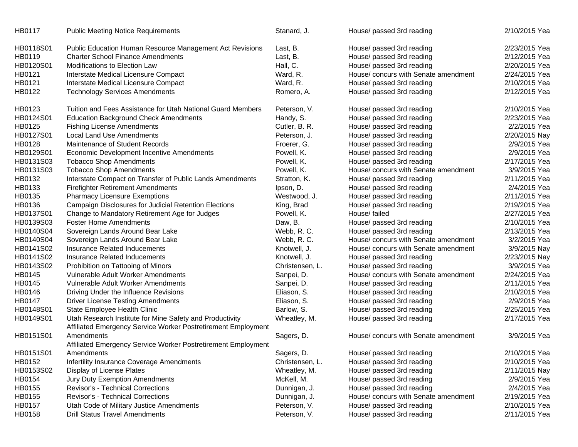| HB0118S01<br><b>Public Education Human Resource Management Act Revisions</b><br>Last, B.<br>House/ passed 3rd reading                          | 2/23/2015 Yea |
|------------------------------------------------------------------------------------------------------------------------------------------------|---------------|
| HB0119<br><b>Charter School Finance Amendments</b><br>House/ passed 3rd reading<br>Last, B.                                                    | 2/12/2015 Yea |
| HB0120S01<br>Modifications to Election Law<br>Hall, C.<br>House/ passed 3rd reading                                                            | 2/20/2015 Yea |
| House/ concurs with Senate amendment<br>HB0121<br>Interstate Medical Licensure Compact<br>Ward, R.                                             | 2/24/2015 Yea |
| HB0121<br>Interstate Medical Licensure Compact<br>Ward, R.<br>House/ passed 3rd reading                                                        | 2/10/2015 Yea |
| HB0122<br><b>Technology Services Amendments</b><br>Romero, A.<br>House/ passed 3rd reading                                                     | 2/12/2015 Yea |
| HB0123<br>Tuition and Fees Assistance for Utah National Guard Members<br>Peterson, V.<br>House/ passed 3rd reading                             | 2/10/2015 Yea |
| HB0124S01<br>Handy, S.<br>House/ passed 3rd reading<br><b>Education Background Check Amendments</b>                                            | 2/23/2015 Yea |
| HB0125<br><b>Fishing License Amendments</b><br>House/ passed 3rd reading<br>Cutler, B. R.                                                      | 2/2/2015 Yea  |
| HB0127S01<br>Local Land Use Amendments<br>House/ passed 3rd reading<br>Peterson, J.                                                            | 2/20/2015 Nay |
| HB0128<br>Maintenance of Student Records<br>Froerer, G.<br>House/ passed 3rd reading                                                           | 2/9/2015 Yea  |
| HB0129S01<br>Economic Development Incentive Amendments<br>Powell, K.<br>House/ passed 3rd reading                                              | 2/9/2015 Yea  |
| HB0131S03<br><b>Tobacco Shop Amendments</b><br>Powell, K.<br>House/ passed 3rd reading                                                         | 2/17/2015 Yea |
| HB0131S03<br><b>Tobacco Shop Amendments</b><br>House/ concurs with Senate amendment<br>Powell, K.                                              | 3/9/2015 Yea  |
| HB0132<br>Interstate Compact on Transfer of Public Lands Amendments<br>House/ passed 3rd reading<br>Stratton, K.                               | 2/11/2015 Yea |
| HB0133<br><b>Firefighter Retirement Amendments</b><br>Ipson, D.<br>House/ passed 3rd reading                                                   | 2/4/2015 Yea  |
| HB0135<br><b>Pharmacy Licensure Exemptions</b><br>Westwood, J.<br>House/ passed 3rd reading                                                    | 2/11/2015 Yea |
| HB0136<br>Campaign Disclosures for Judicial Retention Elections<br>King, Brad<br>House/ passed 3rd reading                                     | 2/19/2015 Yea |
| HB0137S01<br>House/ failed<br>Change to Mandatory Retirement Age for Judges<br>Powell, K.                                                      | 2/27/2015 Yea |
| HB0139S03<br><b>Foster Home Amendments</b><br>Daw, B.<br>House/ passed 3rd reading                                                             | 2/10/2015 Yea |
| HB0140S04<br>Sovereign Lands Around Bear Lake<br>House/ passed 3rd reading<br>Webb, R.C.                                                       | 2/13/2015 Yea |
| House/ concurs with Senate amendment<br>HB0140S04<br>Sovereign Lands Around Bear Lake<br>Webb, R.C.                                            | 3/2/2015 Yea  |
| HB0141S02<br>Insurance Related Inducements<br>Knotwell, J.<br>House/ concurs with Senate amendment                                             | 3/9/2015 Nay  |
| HB0141S02<br>Insurance Related Inducements<br>Knotwell, J.<br>House/ passed 3rd reading                                                        | 2/23/2015 Nay |
| HB0143S02<br>Prohibition on Tattooing of Minors<br>Christensen, L.<br>House/ passed 3rd reading                                                | 3/9/2015 Yea  |
| House/ concurs with Senate amendment<br>HB0145<br>Vulnerable Adult Worker Amendments<br>Sanpei, D.                                             | 2/24/2015 Yea |
| HB0145<br>Vulnerable Adult Worker Amendments<br>House/ passed 3rd reading<br>Sanpei, D.                                                        | 2/11/2015 Yea |
| HB0146<br>Driving Under the Influence Revisions<br>Eliason, S.<br>House/ passed 3rd reading                                                    | 2/10/2015 Yea |
| HB0147<br><b>Driver License Testing Amendments</b><br>Eliason, S.<br>House/ passed 3rd reading                                                 | 2/9/2015 Yea  |
| HB0148S01<br>State Employee Health Clinic<br>Barlow, S.<br>House/ passed 3rd reading                                                           | 2/25/2015 Yea |
| HB0149S01<br>Utah Research Institute for Mine Safety and Productivity<br>Wheatley, M.<br>House/ passed 3rd reading                             | 2/17/2015 Yea |
| Affiliated Emergency Service Worker Postretirement Employment                                                                                  |               |
| HB0151S01<br>Amendments<br>Sagers, D.<br>House/ concurs with Senate amendment<br>Affiliated Emergency Service Worker Postretirement Employment | 3/9/2015 Yea  |
| HB0151S01<br>Sagers, D.<br>House/ passed 3rd reading<br>Amendments                                                                             | 2/10/2015 Yea |
| HB0152<br>Infertility Insurance Coverage Amendments<br>House/ passed 3rd reading<br>Christensen, L.                                            | 2/10/2015 Yea |
| HB0153S02<br>Wheatley, M.<br>House/ passed 3rd reading<br>Display of License Plates                                                            | 2/11/2015 Nay |
| HB0154<br>Jury Duty Exemption Amendments<br>McKell, M.<br>House/ passed 3rd reading                                                            | 2/9/2015 Yea  |
| HB0155<br>Revisor's - Technical Corrections<br>House/ passed 3rd reading<br>Dunnigan, J.                                                       | 2/4/2015 Yea  |
| HB0155<br>Revisor's - Technical Corrections<br>House/ concurs with Senate amendment<br>Dunnigan, J.                                            | 2/19/2015 Yea |
| Utah Code of Military Justice Amendments<br>Peterson, V.<br>House/ passed 3rd reading<br>HB0157                                                | 2/10/2015 Yea |
| HB0158<br><b>Drill Status Travel Amendments</b><br>Peterson, V.<br>House/ passed 3rd reading                                                   | 2/11/2015 Yea |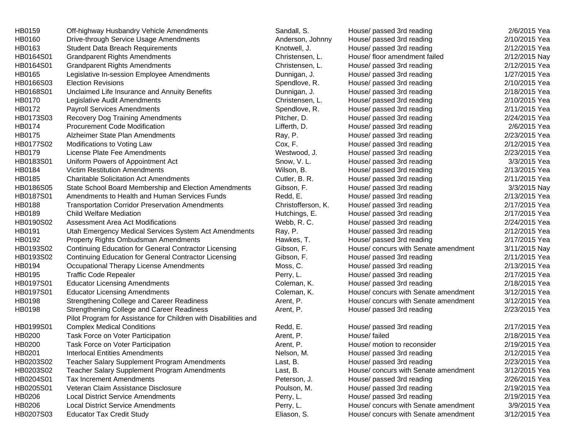| HB0159    | Off-highway Husbandry Vehicle Amendments                        | Sandall, S.        | House/ passed 3rd reading            | 2/6/2015 Yea  |
|-----------|-----------------------------------------------------------------|--------------------|--------------------------------------|---------------|
| HB0160    | Drive-through Service Usage Amendments                          | Anderson, Johnny   | House/ passed 3rd reading            | 2/10/2015 Yea |
| HB0163    | <b>Student Data Breach Requirements</b>                         | Knotwell, J.       | House/ passed 3rd reading            | 2/12/2015 Yea |
| HB0164S01 | <b>Grandparent Rights Amendments</b>                            | Christensen, L.    | House/ floor amendment failed        | 2/12/2015 Nay |
| HB0164S01 | <b>Grandparent Rights Amendments</b>                            | Christensen, L.    | House/ passed 3rd reading            | 2/12/2015 Yea |
| HB0165    | Legislative In-session Employee Amendments                      | Dunnigan, J.       | House/ passed 3rd reading            | 1/27/2015 Yea |
| HB0166S03 | <b>Election Revisions</b>                                       | Spendlove, R.      | House/ passed 3rd reading            | 2/10/2015 Yea |
| HB0168S01 | Unclaimed Life Insurance and Annuity Benefits                   | Dunnigan, J.       | House/ passed 3rd reading            | 2/18/2015 Yea |
| HB0170    | Legislative Audit Amendments                                    | Christensen, L.    | House/ passed 3rd reading            | 2/10/2015 Yea |
| HB0172    | <b>Payroll Services Amendments</b>                              | Spendlove, R.      | House/ passed 3rd reading            | 2/11/2015 Yea |
| HB0173S03 | <b>Recovery Dog Training Amendments</b>                         | Pitcher, D.        | House/ passed 3rd reading            | 2/24/2015 Yea |
| HB0174    | <b>Procurement Code Modification</b>                            | Lifferth, D.       | House/ passed 3rd reading            | 2/6/2015 Yea  |
| HB0175    | Alzheimer State Plan Amendments                                 | Ray, P.            | House/ passed 3rd reading            | 2/23/2015 Yea |
| HB0177S02 | Modifications to Voting Law                                     | Cox, F.            | House/ passed 3rd reading            | 2/12/2015 Yea |
| HB0179    | License Plate Fee Amendments                                    | Westwood, J.       | House/ passed 3rd reading            | 2/23/2015 Yea |
| HB0183S01 | Uniform Powers of Appointment Act                               | Snow, V.L.         | House/ passed 3rd reading            | 3/3/2015 Yea  |
| HB0184    | <b>Victim Restitution Amendments</b>                            | Wilson, B.         | House/ passed 3rd reading            | 2/13/2015 Yea |
| HB0185    | <b>Charitable Solicitation Act Amendments</b>                   | Cutler, B. R.      | House/ passed 3rd reading            | 2/11/2015 Yea |
| HB0186S05 | State School Board Membership and Election Amendments           | Gibson, F.         | House/ passed 3rd reading            | 3/3/2015 Nay  |
| HB0187S01 | Amendments to Health and Human Services Funds                   | Redd, E.           | House/ passed 3rd reading            | 2/13/2015 Yea |
| HB0188    | <b>Transportation Corridor Preservation Amendments</b>          | Christofferson, K. | House/ passed 3rd reading            | 2/17/2015 Yea |
| HB0189    | <b>Child Welfare Mediation</b>                                  | Hutchings, E.      | House/ passed 3rd reading            | 2/17/2015 Yea |
| HB0190S02 | Assessment Area Act Modifications                               | Webb, R.C.         | House/ passed 3rd reading            | 2/24/2015 Yea |
| HB0191    | Utah Emergency Medical Services System Act Amendments           | Ray, P.            | House/ passed 3rd reading            | 2/12/2015 Yea |
| HB0192    | Property Rights Ombudsman Amendments                            | Hawkes, T.         | House/ passed 3rd reading            | 2/17/2015 Yea |
| HB0193S02 | <b>Continuing Education for General Contractor Licensing</b>    | Gibson, F.         | House/ concurs with Senate amendment | 3/11/2015 Nay |
| HB0193S02 | <b>Continuing Education for General Contractor Licensing</b>    | Gibson, F.         | House/ passed 3rd reading            | 2/11/2015 Yea |
| HB0194    | Occupational Therapy License Amendments                         | Moss, C.           | House/ passed 3rd reading            | 2/13/2015 Yea |
| HB0195    | <b>Traffic Code Repealer</b>                                    | Perry, L.          | House/ passed 3rd reading            | 2/17/2015 Yea |
| HB0197S01 | <b>Educator Licensing Amendments</b>                            | Coleman, K.        | House/ passed 3rd reading            | 2/18/2015 Yea |
| HB0197S01 | <b>Educator Licensing Amendments</b>                            | Coleman, K.        | House/ concurs with Senate amendment | 3/12/2015 Yea |
| HB0198    | Strengthening College and Career Readiness                      | Arent, P.          | House/ concurs with Senate amendment | 3/12/2015 Yea |
| HB0198    | Strengthening College and Career Readiness                      | Arent, P.          | House/ passed 3rd reading            | 2/23/2015 Yea |
|           | Pilot Program for Assistance for Children with Disabilities and |                    |                                      |               |
| HB0199S01 | <b>Complex Medical Conditions</b>                               | Redd, E.           | House/ passed 3rd reading            | 2/17/2015 Yea |
| HB0200    | Task Force on Voter Participation                               | Arent, P.          | House/ failed                        | 2/18/2015 Yea |
| HB0200    | Task Force on Voter Participation                               | Arent, P.          | House/ motion to reconsider          | 2/19/2015 Yea |
| HB0201    | <b>Interlocal Entities Amendments</b>                           | Nelson, M.         | House/ passed 3rd reading            | 2/12/2015 Yea |
| HB0203S02 | <b>Teacher Salary Supplement Program Amendments</b>             | Last, B.           | House/ passed 3rd reading            | 2/23/2015 Yea |
| HB0203S02 | Teacher Salary Supplement Program Amendments                    | Last, B.           | House/ concurs with Senate amendment | 3/12/2015 Yea |
| HB0204S01 | <b>Tax Increment Amendments</b>                                 | Peterson, J.       | House/ passed 3rd reading            | 2/26/2015 Yea |
| HB0205S01 | Veteran Claim Assistance Disclosure                             | Poulson, M.        | House/ passed 3rd reading            | 2/19/2015 Yea |
| HB0206    | <b>Local District Service Amendments</b>                        | Perry, L.          | House/ passed 3rd reading            | 2/19/2015 Yea |
| HB0206    | <b>Local District Service Amendments</b>                        | Perry, L.          | House/ concurs with Senate amendment | 3/9/2015 Yea  |
| HB0207S03 | <b>Educator Tax Credit Study</b>                                | Eliason, S.        | House/ concurs with Senate amendment | 3/12/2015 Yea |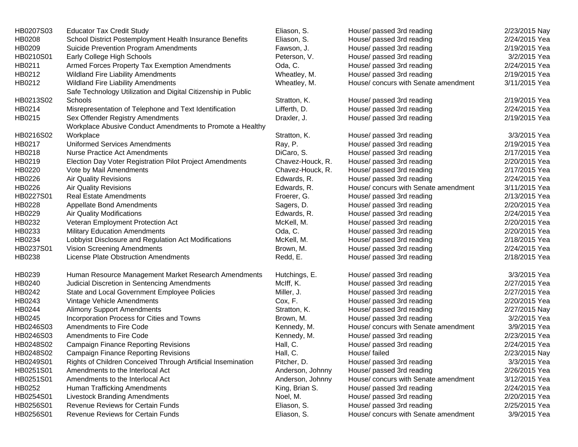| HB0207S03 | <b>Educator Tax Credit Study</b>                              | Eliason, S.      | House/ passed 3rd reading            | 2/23/2015 Nay |
|-----------|---------------------------------------------------------------|------------------|--------------------------------------|---------------|
| HB0208    | School District Postemployment Health Insurance Benefits      | Eliason, S.      | House/ passed 3rd reading            | 2/24/2015 Yea |
| HB0209    | Suicide Prevention Program Amendments                         | Fawson, J.       | House/ passed 3rd reading            | 2/19/2015 Yea |
| HB0210S01 | Early College High Schools                                    | Peterson, V.     | House/ passed 3rd reading            | 3/2/2015 Yea  |
| HB0211    | Armed Forces Property Tax Exemption Amendments                | Oda, C.          | House/ passed 3rd reading            | 2/24/2015 Yea |
| HB0212    | <b>Wildland Fire Liability Amendments</b>                     | Wheatley, M.     | House/ passed 3rd reading            | 2/19/2015 Yea |
| HB0212    | <b>Wildland Fire Liability Amendments</b>                     | Wheatley, M.     | House/ concurs with Senate amendment | 3/11/2015 Yea |
|           | Safe Technology Utilization and Digital Citizenship in Public |                  |                                      |               |
| HB0213S02 | Schools                                                       | Stratton, K.     | House/ passed 3rd reading            | 2/19/2015 Yea |
| HB0214    | Misrepresentation of Telephone and Text Identification        | Lifferth, D.     | House/ passed 3rd reading            | 2/24/2015 Yea |
| HB0215    | Sex Offender Registry Amendments                              | Draxler, J.      | House/ passed 3rd reading            | 2/19/2015 Yea |
|           | Workplace Abusive Conduct Amendments to Promote a Healthy     |                  |                                      |               |
| HB0216S02 | Workplace                                                     | Stratton, K.     | House/ passed 3rd reading            | 3/3/2015 Yea  |
| HB0217    | Uniformed Services Amendments                                 | Ray, P.          | House/ passed 3rd reading            | 2/19/2015 Yea |
| HB0218    | <b>Nurse Practice Act Amendments</b>                          | DiCaro, S.       | House/ passed 3rd reading            | 2/17/2015 Yea |
| HB0219    | Election Day Voter Registration Pilot Project Amendments      | Chavez-Houck, R. | House/ passed 3rd reading            | 2/20/2015 Yea |
| HB0220    | Vote by Mail Amendments                                       | Chavez-Houck, R. | House/ passed 3rd reading            | 2/17/2015 Yea |
| HB0226    | <b>Air Quality Revisions</b>                                  | Edwards, R.      | House/ passed 3rd reading            | 2/24/2015 Yea |
| HB0226    | <b>Air Quality Revisions</b>                                  | Edwards, R.      | House/ concurs with Senate amendment | 3/11/2015 Yea |
| HB0227S01 | <b>Real Estate Amendments</b>                                 | Froerer, G.      | House/ passed 3rd reading            | 2/13/2015 Yea |
| HB0228    | <b>Appellate Bond Amendments</b>                              | Sagers, D.       | House/ passed 3rd reading            | 2/20/2015 Yea |
| HB0229    | Air Quality Modifications                                     | Edwards, R.      | House/ passed 3rd reading            | 2/24/2015 Yea |
| HB0232    | Veteran Employment Protection Act                             | McKell, M.       | House/ passed 3rd reading            | 2/20/2015 Yea |
| HB0233    | <b>Military Education Amendments</b>                          | Oda, C.          | House/ passed 3rd reading            | 2/20/2015 Yea |
| HB0234    | Lobbyist Disclosure and Regulation Act Modifications          | McKell, M.       | House/ passed 3rd reading            | 2/18/2015 Yea |
| HB0237S01 | Vision Screening Amendments                                   | Brown, M.        | House/ passed 3rd reading            | 2/24/2015 Yea |
| HB0238    | License Plate Obstruction Amendments                          | Redd, E.         | House/ passed 3rd reading            | 2/18/2015 Yea |
|           |                                                               |                  |                                      |               |
| HB0239    | Human Resource Management Market Research Amendments          | Hutchings, E.    | House/ passed 3rd reading            | 3/3/2015 Yea  |
| HB0240    | Judicial Discretion in Sentencing Amendments                  | McIff, K.        | House/ passed 3rd reading            | 2/27/2015 Yea |
| HB0242    | State and Local Government Employee Policies                  | Miller, J.       | House/ passed 3rd reading            | 2/27/2015 Yea |
| HB0243    | Vintage Vehicle Amendments                                    | Cox, F.          | House/ passed 3rd reading            | 2/20/2015 Yea |
| HB0244    | <b>Alimony Support Amendments</b>                             | Stratton, K.     | House/ passed 3rd reading            | 2/27/2015 Nay |
| HB0245    | Incorporation Process for Cities and Towns                    | Brown, M.        | House/ passed 3rd reading            | 3/2/2015 Yea  |
| HB0246S03 | Amendments to Fire Code                                       | Kennedy, M.      | House/ concurs with Senate amendment | 3/9/2015 Yea  |
| HB0246S03 | Amendments to Fire Code                                       | Kennedy, M.      | House/ passed 3rd reading            | 2/23/2015 Yea |
| HB0248S02 | <b>Campaign Finance Reporting Revisions</b>                   | Hall, C.         | House/ passed 3rd reading            | 2/24/2015 Yea |
| HB0248S02 | <b>Campaign Finance Reporting Revisions</b>                   | Hall, C.         | House/ failed                        | 2/23/2015 Nay |
| HB0249S01 | Rights of Children Conceived Through Artificial Insemination  | Pitcher, D.      | House/ passed 3rd reading            | 3/3/2015 Yea  |
| HB0251S01 | Amendments to the Interlocal Act                              | Anderson, Johnny | House/ passed 3rd reading            | 2/26/2015 Yea |
| HB0251S01 | Amendments to the Interlocal Act                              | Anderson, Johnny | House/ concurs with Senate amendment | 3/12/2015 Yea |
| HB0252    | Human Trafficking Amendments                                  | King, Brian S.   | House/ passed 3rd reading            | 2/24/2015 Yea |
| HB0254S01 | <b>Livestock Branding Amendments</b>                          | Noel, M.         | House/ passed 3rd reading            | 2/20/2015 Yea |
| HB0256S01 | Revenue Reviews for Certain Funds                             | Eliason, S.      | House/ passed 3rd reading            | 2/25/2015 Yea |
| HB0256S01 | Revenue Reviews for Certain Funds                             | Eliason, S.      | House/ concurs with Senate amendment | 3/9/2015 Yea  |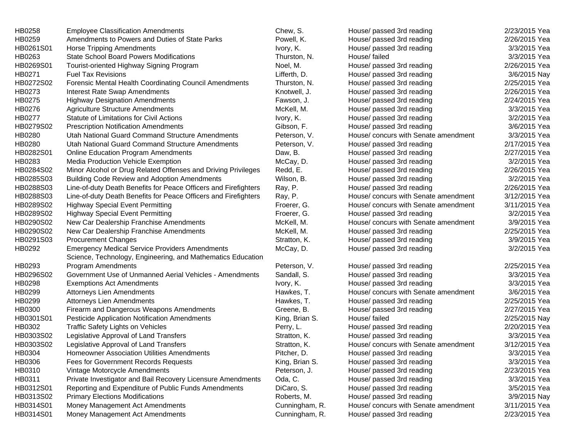| HB0258    | <b>Employee Classification Amendments</b>                       | Chew, S.       | House/ passed 3rd reading            | 2/23/2015 Yea |
|-----------|-----------------------------------------------------------------|----------------|--------------------------------------|---------------|
| HB0259    | Amendments to Powers and Duties of State Parks                  | Powell, K.     | House/ passed 3rd reading            | 2/26/2015 Yea |
| HB0261S01 | <b>Horse Tripping Amendments</b>                                | Ivory, K.      | House/ passed 3rd reading            | 3/3/2015 Yea  |
| HB0263    | <b>State School Board Powers Modifications</b>                  | Thurston, N.   | House/ failed                        | 3/3/2015 Yea  |
| HB0269S01 | Tourist-oriented Highway Signing Program                        | Noel, M.       | House/ passed 3rd reading            | 2/26/2015 Yea |
| HB0271    | <b>Fuel Tax Revisions</b>                                       | Lifferth, D.   | House/ passed 3rd reading            | 3/6/2015 Nay  |
| HB0272S02 | Forensic Mental Health Coordinating Council Amendments          | Thurston, N.   | House/ passed 3rd reading            | 2/25/2015 Yea |
| HB0273    | Interest Rate Swap Amendments                                   | Knotwell, J.   | House/ passed 3rd reading            | 2/26/2015 Yea |
| HB0275    | <b>Highway Designation Amendments</b>                           | Fawson, J.     | House/ passed 3rd reading            | 2/24/2015 Yea |
| HB0276    | <b>Agriculture Structure Amendments</b>                         | McKell, M.     | House/ passed 3rd reading            | 3/3/2015 Yea  |
| HB0277    | Statute of Limitations for Civil Actions                        | Ivory, K.      | House/ passed 3rd reading            | 3/2/2015 Yea  |
| HB0279S02 | <b>Prescription Notification Amendments</b>                     | Gibson, F.     | House/ passed 3rd reading            | 3/6/2015 Yea  |
| HB0280    | Utah National Guard Command Structure Amendments                | Peterson, V.   | House/ concurs with Senate amendment | 3/3/2015 Yea  |
| HB0280    | Utah National Guard Command Structure Amendments                | Peterson, V.   | House/ passed 3rd reading            | 2/17/2015 Yea |
| HB0282S01 | <b>Online Education Program Amendments</b>                      | Daw, B.        | House/ passed 3rd reading            | 2/27/2015 Yea |
| HB0283    | Media Production Vehicle Exemption                              | McCay, D.      | House/ passed 3rd reading            | 3/2/2015 Yea  |
| HB0284S02 | Minor Alcohol or Drug Related Offenses and Driving Privileges   | Redd, E.       | House/ passed 3rd reading            | 2/26/2015 Yea |
| HB0285S03 | <b>Building Code Review and Adoption Amendments</b>             | Wilson, B.     | House/ passed 3rd reading            | 3/2/2015 Yea  |
| HB0288S03 | Line-of-duty Death Benefits for Peace Officers and Firefighters | Ray, P.        | House/ passed 3rd reading            | 2/26/2015 Yea |
| HB0288S03 | Line-of-duty Death Benefits for Peace Officers and Firefighters | Ray, P.        | House/ concurs with Senate amendment | 3/12/2015 Yea |
| HB0289S02 | <b>Highway Special Event Permitting</b>                         | Froerer, G.    | House/ concurs with Senate amendment | 3/11/2015 Yea |
| HB0289S02 | <b>Highway Special Event Permitting</b>                         | Froerer, G.    | House/ passed 3rd reading            | 3/2/2015 Yea  |
| HB0290S02 | New Car Dealership Franchise Amendments                         | McKell, M.     | House/ concurs with Senate amendment | 3/9/2015 Yea  |
| HB0290S02 | New Car Dealership Franchise Amendments                         | McKell, M.     | House/ passed 3rd reading            | 2/25/2015 Yea |
| HB0291S03 | <b>Procurement Changes</b>                                      | Stratton, K.   | House/ passed 3rd reading            | 3/9/2015 Yea  |
| HB0292    | <b>Emergency Medical Service Providers Amendments</b>           | McCay, D.      | House/ passed 3rd reading            | 3/2/2015 Yea  |
|           | Science, Technology, Engineering, and Mathematics Education     |                |                                      |               |
| HB0293    | <b>Program Amendments</b>                                       | Peterson, V.   | House/ passed 3rd reading            | 2/25/2015 Yea |
| HB0296S02 | Government Use of Unmanned Aerial Vehicles - Amendments         | Sandall, S.    | House/ passed 3rd reading            | 3/3/2015 Yea  |
| HB0298    | <b>Exemptions Act Amendments</b>                                | Ivory, K.      | House/ passed 3rd reading            | 3/3/2015 Yea  |
| HB0299    | Attorneys Lien Amendments                                       | Hawkes, T.     | House/ concurs with Senate amendment | 3/6/2015 Yea  |
| HB0299    | Attorneys Lien Amendments                                       | Hawkes, T.     | House/ passed 3rd reading            | 2/25/2015 Yea |
| HB0300    | Firearm and Dangerous Weapons Amendments                        | Greene, B.     | House/ passed 3rd reading            | 2/27/2015 Yea |
| HB0301S01 | Pesticide Application Notification Amendments                   | King, Brian S. | House/ failed                        | 2/25/2015 Nay |
| HB0302    | Traffic Safety Lights on Vehicles                               | Perry, L.      | House/ passed 3rd reading            | 2/20/2015 Yea |
| HB0303S02 | Legislative Approval of Land Transfers                          | Stratton, K.   | House/ passed 3rd reading            | 3/3/2015 Yea  |
| HB0303S02 | Legislative Approval of Land Transfers                          | Stratton, K.   | House/ concurs with Senate amendment | 3/12/2015 Yea |
| HB0304    | <b>Homeowner Association Utilities Amendments</b>               | Pitcher, D.    | House/ passed 3rd reading            | 3/3/2015 Yea  |
| HB0306    | Fees for Government Records Requests                            | King, Brian S. | House/ passed 3rd reading            | 3/3/2015 Yea  |
| HB0310    | Vintage Motorcycle Amendments                                   | Peterson, J.   | House/ passed 3rd reading            | 2/23/2015 Yea |
| HB0311    | Private Investigator and Bail Recovery Licensure Amendments     | Oda, C.        | House/ passed 3rd reading            | 3/3/2015 Yea  |
| HB0312S01 | Reporting and Expenditure of Public Funds Amendments            | DiCaro, S.     | House/ passed 3rd reading            | 3/5/2015 Yea  |
| HB0313S02 | <b>Primary Elections Modifications</b>                          | Roberts, M.    | House/ passed 3rd reading            | 3/9/2015 Nay  |
| HB0314S01 | Money Management Act Amendments                                 | Cunningham, R. | House/ concurs with Senate amendment | 3/11/2015 Yea |
| HB0314S01 | Money Management Act Amendments                                 | Cunningham, R. | House/ passed 3rd reading            | 2/23/2015 Yea |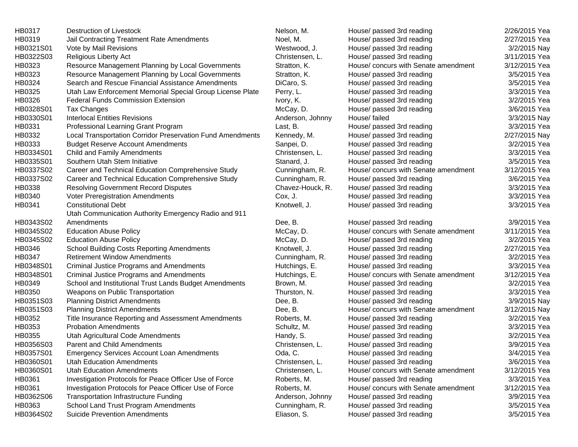| HB0317    | Destruction of Livestock                                   | Nelson, M.       | House/ passed 3rd reading            | 2/26/2015 Yea |
|-----------|------------------------------------------------------------|------------------|--------------------------------------|---------------|
| HB0319    | Jail Contracting Treatment Rate Amendments                 | Noel, M.         | House/ passed 3rd reading            | 2/27/2015 Yea |
| HB0321S01 | Vote by Mail Revisions                                     | Westwood, J.     | House/ passed 3rd reading            | 3/2/2015 Nay  |
| HB0322S03 | <b>Religious Liberty Act</b>                               | Christensen, L.  | House/ passed 3rd reading            | 3/11/2015 Yea |
| HB0323    | Resource Management Planning by Local Governments          | Stratton, K.     | House/ concurs with Senate amendment | 3/12/2015 Yea |
| HB0323    | Resource Management Planning by Local Governments          | Stratton, K.     | House/ passed 3rd reading            | 3/5/2015 Yea  |
| HB0324    | Search and Rescue Financial Assistance Amendments          | DiCaro, S.       | House/ passed 3rd reading            | 3/5/2015 Yea  |
| HB0325    | Utah Law Enforcement Memorial Special Group License Plate  | Perry, L.        | House/ passed 3rd reading            | 3/3/2015 Yea  |
| HB0326    | <b>Federal Funds Commission Extension</b>                  | Ivory, K.        | House/ passed 3rd reading            | 3/2/2015 Yea  |
| HB0328S01 | Tax Changes                                                | McCay, D.        | House/ passed 3rd reading            | 3/6/2015 Yea  |
| HB0330S01 | <b>Interlocal Entities Revisions</b>                       | Anderson, Johnny | House/ failed                        | 3/3/2015 Nay  |
| HB0331    | Professional Learning Grant Program                        | Last, B.         | House/ passed 3rd reading            | 3/3/2015 Yea  |
| HB0332    | Local Transportation Corridor Preservation Fund Amendments | Kennedy, M.      | House/ passed 3rd reading            | 2/27/2015 Nay |
| HB0333    | <b>Budget Reserve Account Amendments</b>                   | Sanpei, D.       | House/ passed 3rd reading            | 3/2/2015 Yea  |
| HB0334S01 | Child and Family Amendments                                | Christensen, L.  | House/ passed 3rd reading            | 3/3/2015 Yea  |
| HB0335S01 | Southern Utah Stem Initiative                              | Stanard, J.      | House/ passed 3rd reading            | 3/5/2015 Yea  |
| HB0337S02 | Career and Technical Education Comprehensive Study         | Cunningham, R.   | House/ concurs with Senate amendment | 3/12/2015 Yea |
| HB0337S02 | Career and Technical Education Comprehensive Study         | Cunningham, R.   | House/ passed 3rd reading            | 3/6/2015 Yea  |
| HB0338    | <b>Resolving Government Record Disputes</b>                | Chavez-Houck, R. | House/ passed 3rd reading            | 3/3/2015 Yea  |
| HB0340    | Voter Preregistration Amendments                           | Cox, J.          | House/ passed 3rd reading            | 3/3/2015 Yea  |
| HB0341    | <b>Constitutional Debt</b>                                 | Knotwell, J.     | House/ passed 3rd reading            | 3/3/2015 Yea  |
|           | Utah Communication Authority Emergency Radio and 911       |                  |                                      |               |
| HB0343S02 | Amendments                                                 | Dee, B.          | House/ passed 3rd reading            | 3/9/2015 Yea  |
| HB0345S02 | <b>Education Abuse Policy</b>                              | McCay, D.        | House/ concurs with Senate amendment | 3/11/2015 Yea |
| HB0345S02 | <b>Education Abuse Policy</b>                              | McCay, D.        | House/ passed 3rd reading            | 3/2/2015 Yea  |
| HB0346    | <b>School Building Costs Reporting Amendments</b>          | Knotwell, J.     | House/ passed 3rd reading            | 2/27/2015 Yea |
| HB0347    | <b>Retirement Window Amendments</b>                        | Cunningham, R.   | House/ passed 3rd reading            | 3/2/2015 Yea  |
| HB0348S01 | <b>Criminal Justice Programs and Amendments</b>            | Hutchings, E.    | House/ passed 3rd reading            | 3/3/2015 Yea  |
| HB0348S01 | Criminal Justice Programs and Amendments                   | Hutchings, E.    | House/ concurs with Senate amendment | 3/12/2015 Yea |
| HB0349    | School and Institutional Trust Lands Budget Amendments     | Brown, M.        | House/ passed 3rd reading            | 3/2/2015 Yea  |
| HB0350    | Weapons on Public Transportation                           | Thurston, N.     | House/ passed 3rd reading            | 3/3/2015 Yea  |
| HB0351S03 | <b>Planning District Amendments</b>                        | Dee, B.          | House/ passed 3rd reading            | 3/9/2015 Nay  |
| HB0351S03 | <b>Planning District Amendments</b>                        | Dee, B.          | House/ concurs with Senate amendment | 3/12/2015 Nay |
| HB0352    | Title Insurance Reporting and Assessment Amendments        | Roberts, M.      | House/ passed 3rd reading            | 3/2/2015 Yea  |
| HB0353    | <b>Probation Amendments</b>                                | Schultz, M.      | House/ passed 3rd reading            | 3/3/2015 Yea  |
| HB0355    | Utah Agricultural Code Amendments                          | Handy, S.        | House/ passed 3rd reading            | 3/2/2015 Yea  |
| HB0356S03 | <b>Parent and Child Amendments</b>                         | Christensen, L.  | House/ passed 3rd reading            | 3/9/2015 Yea  |
| HB0357S01 | Emergency Services Account Loan Amendments                 | Oda, C.          | House/ passed 3rd reading            | 3/4/2015 Yea  |
| HB0360S01 | Utah Education Amendments                                  | Christensen, L.  | House/ passed 3rd reading            | 3/6/2015 Yea  |
| HB0360S01 | <b>Utah Education Amendments</b>                           | Christensen, L.  | House/ concurs with Senate amendment | 3/12/2015 Yea |
| HB0361    | Investigation Protocols for Peace Officer Use of Force     | Roberts, M.      | House/ passed 3rd reading            | 3/3/2015 Yea  |
| HB0361    | Investigation Protocols for Peace Officer Use of Force     | Roberts, M.      | House/ concurs with Senate amendment | 3/12/2015 Yea |
| HB0362S06 | <b>Transportation Infrastructure Funding</b>               | Anderson, Johnny | House/ passed 3rd reading            | 3/9/2015 Yea  |
| HB0363    | School Land Trust Program Amendments                       | Cunningham, R.   | House/ passed 3rd reading            | 3/5/2015 Yea  |
| HB0364S02 | <b>Suicide Prevention Amendments</b>                       | Eliason, S.      | House/ passed 3rd reading            | 3/5/2015 Yea  |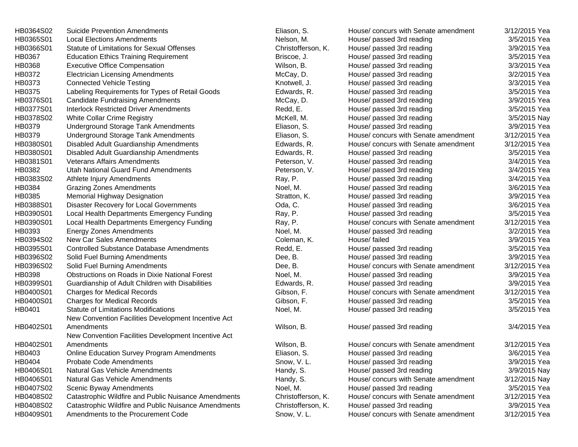| HB0364S02 | <b>Suicide Prevention Amendments</b>                 | Eliason, S.        | House/ concurs with Senate amendment | 3/12/2015 Yea |
|-----------|------------------------------------------------------|--------------------|--------------------------------------|---------------|
| HB0365S01 | <b>Local Elections Amendments</b>                    | Nelson, M.         | House/ passed 3rd reading            | 3/5/2015 Yea  |
| HB0366S01 | Statute of Limitations for Sexual Offenses           | Christofferson, K. | House/ passed 3rd reading            | 3/9/2015 Yea  |
| HB0367    | <b>Education Ethics Training Requirement</b>         | Briscoe, J.        | House/ passed 3rd reading            | 3/5/2015 Yea  |
| HB0368    | <b>Executive Office Compensation</b>                 | Wilson, B.         | House/ passed 3rd reading            | 3/3/2015 Yea  |
| HB0372    | <b>Electrician Licensing Amendments</b>              | McCay, D.          | House/ passed 3rd reading            | 3/2/2015 Yea  |
| HB0373    | <b>Connected Vehicle Testing</b>                     | Knotwell, J.       | House/ passed 3rd reading            | 3/3/2015 Yea  |
| HB0375    | Labeling Requirements for Types of Retail Goods      | Edwards, R.        | House/ passed 3rd reading            | 3/5/2015 Yea  |
| HB0376S01 | <b>Candidate Fundraising Amendments</b>              | McCay, D.          | House/ passed 3rd reading            | 3/9/2015 Yea  |
| HB0377S01 | <b>Interlock Restricted Driver Amendments</b>        | Redd, E.           | House/ passed 3rd reading            | 3/5/2015 Yea  |
| HB0378S02 | White Collar Crime Registry                          | McKell, M.         | House/ passed 3rd reading            | 3/5/2015 Nay  |
| HB0379    | Underground Storage Tank Amendments                  | Eliason, S.        | House/ passed 3rd reading            | 3/9/2015 Yea  |
| HB0379    | Underground Storage Tank Amendments                  | Eliason, S.        | House/ concurs with Senate amendment | 3/12/2015 Yea |
| HB0380S01 | Disabled Adult Guardianship Amendments               | Edwards, R.        | House/ concurs with Senate amendment | 3/12/2015 Yea |
| HB0380S01 | Disabled Adult Guardianship Amendments               | Edwards, R.        | House/ passed 3rd reading            | 3/5/2015 Yea  |
| HB0381S01 | <b>Veterans Affairs Amendments</b>                   | Peterson, V.       | House/ passed 3rd reading            | 3/4/2015 Yea  |
| HB0382    | Utah National Guard Fund Amendments                  | Peterson, V.       | House/ passed 3rd reading            | 3/4/2015 Yea  |
| HB0383S02 | Athlete Injury Amendments                            | Ray, P.            | House/ passed 3rd reading            | 3/4/2015 Yea  |
| HB0384    | <b>Grazing Zones Amendments</b>                      | Noel, M.           | House/ passed 3rd reading            | 3/6/2015 Yea  |
| HB0385    | <b>Memorial Highway Designation</b>                  | Stratton, K.       | House/ passed 3rd reading            | 3/9/2015 Yea  |
| HB0388S01 | Disaster Recovery for Local Governments              | Oda, C.            | House/ passed 3rd reading            | 3/6/2015 Yea  |
| HB0390S01 | Local Health Departments Emergency Funding           | Ray, P.            | House/ passed 3rd reading            | 3/5/2015 Yea  |
| HB0390S01 | Local Health Departments Emergency Funding           | Ray, P.            | House/ concurs with Senate amendment | 3/12/2015 Yea |
| HB0393    | <b>Energy Zones Amendments</b>                       | Noel, M.           | House/ passed 3rd reading            | 3/2/2015 Yea  |
| HB0394S02 | New Car Sales Amendments                             | Coleman, K.        | House/ failed                        | 3/9/2015 Yea  |
| HB0395S01 | <b>Controlled Substance Database Amendments</b>      | Redd, E.           | House/ passed 3rd reading            | 3/5/2015 Yea  |
| HB0396S02 | Solid Fuel Burning Amendments                        | Dee, B.            | House/ passed 3rd reading            | 3/9/2015 Yea  |
| HB0396S02 | Solid Fuel Burning Amendments                        | Dee, B.            | House/ concurs with Senate amendment | 3/12/2015 Yea |
| HB0398    | Obstructions on Roads in Dixie National Forest       | Noel, M.           | House/ passed 3rd reading            | 3/9/2015 Yea  |
| HB0399S01 | Guardianship of Adult Children with Disabilities     | Edwards, R.        | House/ passed 3rd reading            | 3/9/2015 Yea  |
| HB0400S01 | <b>Charges for Medical Records</b>                   | Gibson, F.         | House/ concurs with Senate amendment | 3/12/2015 Yea |
| HB0400S01 | <b>Charges for Medical Records</b>                   | Gibson, F.         | House/ passed 3rd reading            | 3/5/2015 Yea  |
| HB0401    | <b>Statute of Limitations Modifications</b>          | Noel, M.           | House/ passed 3rd reading            | 3/5/2015 Yea  |
|           | New Convention Facilities Development Incentive Act  |                    |                                      |               |
| HB0402S01 | Amendments                                           | Wilson, B.         | House/ passed 3rd reading            | 3/4/2015 Yea  |
|           | New Convention Facilities Development Incentive Act  |                    |                                      |               |
| HB0402S01 | Amendments                                           | Wilson, B.         | House/ concurs with Senate amendment | 3/12/2015 Yea |
| HB0403    | Online Education Survey Program Amendments           | Eliason, S.        | House/ passed 3rd reading            | 3/6/2015 Yea  |
| HB0404    | <b>Probate Code Amendments</b>                       | Snow, V.L.         | House/ passed 3rd reading            | 3/9/2015 Yea  |
| HB0406S01 | <b>Natural Gas Vehicle Amendments</b>                | Handy, S.          | House/ passed 3rd reading            | 3/9/2015 Nay  |
| HB0406S01 | Natural Gas Vehicle Amendments                       | Handy, S.          | House/ concurs with Senate amendment | 3/12/2015 Nay |
| HB0407S02 | Scenic Byway Amendments                              | Noel, M.           | House/ passed 3rd reading            | 3/5/2015 Yea  |
| HB0408S02 | Catastrophic Wildfire and Public Nuisance Amendments | Christofferson, K. | House/ concurs with Senate amendment | 3/12/2015 Yea |
| HB0408S02 | Catastrophic Wildfire and Public Nuisance Amendments | Christofferson, K. | House/ passed 3rd reading            | 3/9/2015 Yea  |
| HB0409S01 | Amendments to the Procurement Code                   | Snow, V.L.         | House/ concurs with Senate amendment | 3/12/2015 Yea |
|           |                                                      |                    |                                      |               |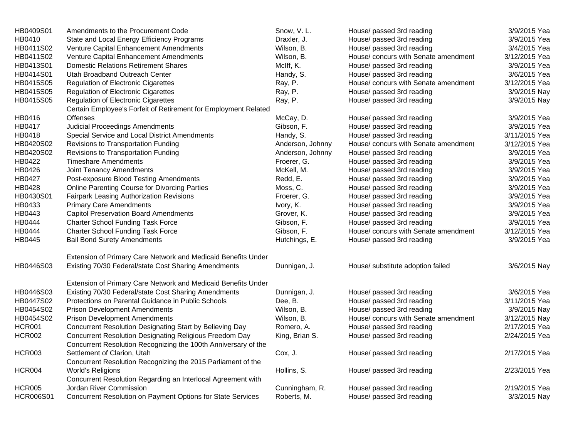| HB0409S01        | Amendments to the Procurement Code                              | Snow, V.L.       | House/ passed 3rd reading            | 3/9/2015 Yea  |
|------------------|-----------------------------------------------------------------|------------------|--------------------------------------|---------------|
| HB0410           | State and Local Energy Efficiency Programs                      | Draxler, J.      | House/ passed 3rd reading            | 3/9/2015 Yea  |
| HB0411S02        | Venture Capital Enhancement Amendments                          | Wilson, B.       | House/ passed 3rd reading            | 3/4/2015 Yea  |
| HB0411S02        | Venture Capital Enhancement Amendments                          | Wilson, B.       | House/ concurs with Senate amendment | 3/12/2015 Yea |
| HB0413S01        | <b>Domestic Relations Retirement Shares</b>                     | McIff, K.        | House/ passed 3rd reading            | 3/9/2015 Yea  |
| HB0414S01        | Utah Broadband Outreach Center                                  | Handy, S.        | House/ passed 3rd reading            | 3/6/2015 Yea  |
| HB0415S05        | <b>Regulation of Electronic Cigarettes</b>                      | Ray, P.          | House/ concurs with Senate amendment | 3/12/2015 Yea |
| HB0415S05        | <b>Regulation of Electronic Cigarettes</b>                      | Ray, P.          | House/ passed 3rd reading            | 3/9/2015 Nay  |
| HB0415S05        | <b>Regulation of Electronic Cigarettes</b>                      | Ray, P.          | House/ passed 3rd reading            | 3/9/2015 Nay  |
|                  | Certain Employee's Forfeit of Retirement for Employment Related |                  |                                      |               |
| HB0416           | <b>Offenses</b>                                                 | McCay, D.        | House/ passed 3rd reading            | 3/9/2015 Yea  |
| HB0417           | <b>Judicial Proceedings Amendments</b>                          | Gibson, F.       | House/ passed 3rd reading            | 3/9/2015 Yea  |
| HB0418           | Special Service and Local District Amendments                   | Handy, S.        | House/ passed 3rd reading            | 3/11/2015 Yea |
| HB0420S02        | Revisions to Transportation Funding                             | Anderson, Johnny | House/ concurs with Senate amendment | 3/12/2015 Yea |
| HB0420S02        | Revisions to Transportation Funding                             | Anderson, Johnny | House/ passed 3rd reading            | 3/9/2015 Yea  |
| HB0422           | <b>Timeshare Amendments</b>                                     | Froerer, G.      | House/ passed 3rd reading            | 3/9/2015 Yea  |
| HB0426           | Joint Tenancy Amendments                                        | McKell, M.       | House/ passed 3rd reading            | 3/9/2015 Yea  |
| HB0427           | Post-exposure Blood Testing Amendments                          | Redd, E.         | House/ passed 3rd reading            | 3/9/2015 Yea  |
| HB0428           | Online Parenting Course for Divorcing Parties                   | Moss, C.         | House/ passed 3rd reading            | 3/9/2015 Yea  |
| HB0430S01        | Fairpark Leasing Authorization Revisions                        | Froerer, G.      | House/ passed 3rd reading            | 3/9/2015 Yea  |
| HB0433           | <b>Primary Care Amendments</b>                                  | Ivory, K.        | House/ passed 3rd reading            | 3/9/2015 Yea  |
| HB0443           | <b>Capitol Preservation Board Amendments</b>                    | Grover, K.       | House/ passed 3rd reading            | 3/9/2015 Yea  |
| HB0444           | <b>Charter School Funding Task Force</b>                        | Gibson, F.       | House/ passed 3rd reading            | 3/9/2015 Yea  |
| HB0444           | <b>Charter School Funding Task Force</b>                        | Gibson, F.       | House/ concurs with Senate amendment | 3/12/2015 Yea |
| HB0445           | <b>Bail Bond Surety Amendments</b>                              | Hutchings, E.    | House/ passed 3rd reading            | 3/9/2015 Yea  |
|                  | Extension of Primary Care Network and Medicaid Benefits Under   |                  |                                      |               |
| HB0446S03        | Existing 70/30 Federal/state Cost Sharing Amendments            | Dunnigan, J.     | House/ substitute adoption failed    | 3/6/2015 Nay  |
|                  | Extension of Primary Care Network and Medicaid Benefits Under   |                  |                                      |               |
| HB0446S03        | Existing 70/30 Federal/state Cost Sharing Amendments            | Dunnigan, J.     | House/ passed 3rd reading            | 3/6/2015 Yea  |
| HB0447S02        | Protections on Parental Guidance in Public Schools              | Dee, B.          | House/ passed 3rd reading            | 3/11/2015 Yea |
| HB0454S02        | <b>Prison Development Amendments</b>                            | Wilson, B.       | House/ passed 3rd reading            | 3/9/2015 Nay  |
| HB0454S02        | <b>Prison Development Amendments</b>                            | Wilson, B.       | House/ concurs with Senate amendment | 3/12/2015 Nay |
| <b>HCR001</b>    | Concurrent Resolution Designating Start by Believing Day        | Romero, A.       | House/ passed 3rd reading            | 2/17/2015 Yea |
| <b>HCR002</b>    | Concurrent Resolution Designating Religious Freedom Day         | King, Brian S.   | House/ passed 3rd reading            | 2/24/2015 Yea |
|                  | Concurrent Resolution Recognizing the 100th Anniversary of the  |                  |                                      |               |
| <b>HCR003</b>    | Settlement of Clarion, Utah                                     | Cox, J.          | House/ passed 3rd reading            | 2/17/2015 Yea |
|                  | Concurrent Resolution Recognizing the 2015 Parliament of the    |                  |                                      |               |
| <b>HCR004</b>    | World's Religions                                               | Hollins, S.      | House/ passed 3rd reading            | 2/23/2015 Yea |
|                  | Concurrent Resolution Regarding an Interlocal Agreement with    |                  |                                      |               |
| <b>HCR005</b>    | Jordan River Commission                                         | Cunningham, R.   | House/ passed 3rd reading            | 2/19/2015 Yea |
| <b>HCR006S01</b> | Concurrent Resolution on Payment Options for State Services     | Roberts, M.      | House/ passed 3rd reading            | 3/3/2015 Nay  |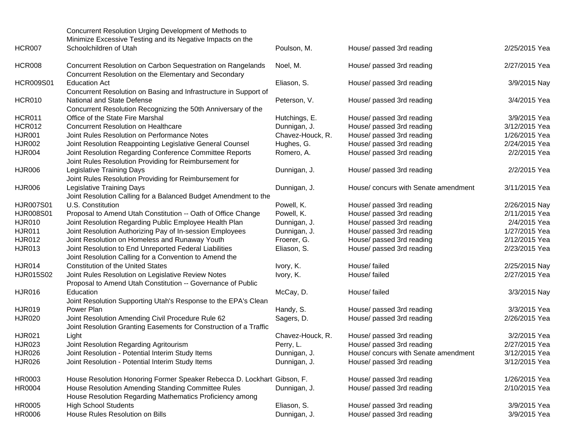|               | Concurrent Resolution Urging Development of Methods to<br>Minimize Excessive Testing and its Negative Impacts on the   |                  |                                      |               |
|---------------|------------------------------------------------------------------------------------------------------------------------|------------------|--------------------------------------|---------------|
| <b>HCR007</b> | Schoolchildren of Utah                                                                                                 | Poulson, M.      | House/ passed 3rd reading            | 2/25/2015 Yea |
| <b>HCR008</b> | Concurrent Resolution on Carbon Sequestration on Rangelands<br>Concurrent Resolution on the Elementary and Secondary   | Noel, M.         | House/ passed 3rd reading            | 2/27/2015 Yea |
| HCR009S01     | <b>Education Act</b><br>Concurrent Resolution on Basing and Infrastructure in Support of                               | Eliason, S.      | House/ passed 3rd reading            | 3/9/2015 Nay  |
| HCR010        | National and State Defense<br>Concurrent Resolution Recognizing the 50th Anniversary of the                            | Peterson, V.     | House/ passed 3rd reading            | 3/4/2015 Yea  |
| <b>HCR011</b> | Office of the State Fire Marshal                                                                                       | Hutchings, E.    | House/ passed 3rd reading            | 3/9/2015 Yea  |
| <b>HCR012</b> | Concurrent Resolution on Healthcare                                                                                    | Dunnigan, J.     | House/ passed 3rd reading            | 3/12/2015 Yea |
| <b>HJR001</b> | Joint Rules Resolution on Performance Notes                                                                            | Chavez-Houck, R. | House/ passed 3rd reading            | 1/26/2015 Yea |
| <b>HJR002</b> | Joint Resolution Reappointing Legislative General Counsel                                                              | Hughes, G.       | House/ passed 3rd reading            | 2/24/2015 Yea |
| <b>HJR004</b> | Joint Resolution Regarding Conference Committee Reports<br>Joint Rules Resolution Providing for Reimbursement for      | Romero, A.       | House/ passed 3rd reading            | 2/2/2015 Yea  |
| <b>HJR006</b> | Legislative Training Days<br>Joint Rules Resolution Providing for Reimbursement for                                    | Dunnigan, J.     | House/ passed 3rd reading            | 2/2/2015 Yea  |
| <b>HJR006</b> | Legislative Training Days<br>Joint Resolution Calling for a Balanced Budget Amendment to the                           | Dunnigan, J.     | House/ concurs with Senate amendment | 3/11/2015 Yea |
| HJR007S01     | U.S. Constitution                                                                                                      | Powell, K.       | House/ passed 3rd reading            | 2/26/2015 Nay |
| HJR008S01     | Proposal to Amend Utah Constitution -- Oath of Office Change                                                           | Powell, K.       | House/ passed 3rd reading            | 2/11/2015 Yea |
| <b>HJR010</b> | Joint Resolution Regarding Public Employee Health Plan                                                                 | Dunnigan, J.     | House/ passed 3rd reading            | 2/4/2015 Yea  |
| <b>HJR011</b> | Joint Resolution Authorizing Pay of In-session Employees                                                               | Dunnigan, J.     | House/ passed 3rd reading            | 1/27/2015 Yea |
| <b>HJR012</b> | Joint Resolution on Homeless and Runaway Youth                                                                         | Froerer, G.      | House/ passed 3rd reading            | 2/12/2015 Yea |
| <b>HJR013</b> | Joint Resolution to End Unreported Federal Liabilities<br>Joint Resolution Calling for a Convention to Amend the       | Eliason, S.      | House/ passed 3rd reading            | 2/23/2015 Yea |
| <b>HJR014</b> | <b>Constitution of the United States</b>                                                                               | Ivory, K.        | House/ failed                        | 2/25/2015 Nay |
| HJR015S02     | Joint Rules Resolution on Legislative Review Notes<br>Proposal to Amend Utah Constitution -- Governance of Public      | Ivory, K.        | House/ failed                        | 2/27/2015 Yea |
| <b>HJR016</b> | Education<br>Joint Resolution Supporting Utah's Response to the EPA's Clean                                            | McCay, D.        | House/ failed                        | 3/3/2015 Nay  |
| <b>HJR019</b> | Power Plan                                                                                                             | Handy, S.        | House/ passed 3rd reading            | 3/3/2015 Yea  |
| <b>HJR020</b> | Joint Resolution Amending Civil Procedure Rule 62<br>Joint Resolution Granting Easements for Construction of a Traffic | Sagers, D.       | House/ passed 3rd reading            | 2/26/2015 Yea |
| <b>HJR021</b> | Light                                                                                                                  | Chavez-Houck, R. | House/ passed 3rd reading            | 3/2/2015 Yea  |
| <b>HJR023</b> | Joint Resolution Regarding Agritourism                                                                                 | Perry, L.        | House/ passed 3rd reading            | 2/27/2015 Yea |
| <b>HJR026</b> | Joint Resolution - Potential Interim Study Items                                                                       | Dunnigan, J.     | House/ concurs with Senate amendment | 3/12/2015 Yea |
| HJR026        | Joint Resolution - Potential Interim Study Items                                                                       | Dunnigan, J.     | House/ passed 3rd reading            | 3/12/2015 Yea |
| HR0003        | House Resolution Honoring Former Speaker Rebecca D. Lockhart Gibson, F.                                                |                  | House/ passed 3rd reading            | 1/26/2015 Yea |
| HR0004        | House Resolution Amending Standing Committee Rules<br>House Resolution Regarding Mathematics Proficiency among         | Dunnigan, J.     | House/ passed 3rd reading            | 2/10/2015 Yea |
| HR0005        | <b>High School Students</b>                                                                                            | Eliason, S.      | House/ passed 3rd reading            | 3/9/2015 Yea  |
| HR0006        | House Rules Resolution on Bills                                                                                        | Dunnigan, J.     | House/ passed 3rd reading            | 3/9/2015 Yea  |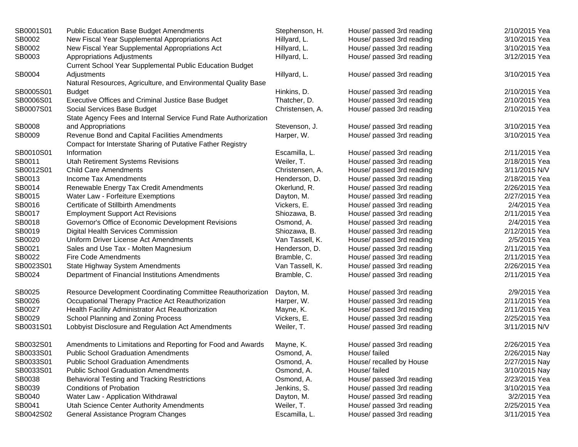| SB0001S01 | <b>Public Education Base Budget Amendments</b>                 | Stephenson, H.  | House/ passed 3rd reading | 2/10/2015 Yea |
|-----------|----------------------------------------------------------------|-----------------|---------------------------|---------------|
| SB0002    | New Fiscal Year Supplemental Appropriations Act                | Hillyard, L.    | House/ passed 3rd reading | 3/10/2015 Yea |
| SB0002    | New Fiscal Year Supplemental Appropriations Act                | Hillyard, L.    | House/ passed 3rd reading | 3/10/2015 Yea |
| SB0003    | <b>Appropriations Adjustments</b>                              | Hillyard, L.    | House/ passed 3rd reading | 3/12/2015 Yea |
|           | Current School Year Supplemental Public Education Budget       |                 |                           |               |
| SB0004    | Adjustments                                                    | Hillyard, L.    | House/ passed 3rd reading | 3/10/2015 Yea |
|           | Natural Resources, Agriculture, and Environmental Quality Base |                 |                           |               |
| SB0005S01 | <b>Budget</b>                                                  | Hinkins, D.     | House/ passed 3rd reading | 2/10/2015 Yea |
| SB0006S01 | Executive Offices and Criminal Justice Base Budget             | Thatcher, D.    | House/ passed 3rd reading | 2/10/2015 Yea |
| SB0007S01 | Social Services Base Budget                                    | Christensen, A. | House/ passed 3rd reading | 2/10/2015 Yea |
|           | State Agency Fees and Internal Service Fund Rate Authorization |                 |                           |               |
| SB0008    | and Appropriations                                             | Stevenson, J.   | House/ passed 3rd reading | 3/10/2015 Yea |
| SB0009    | Revenue Bond and Capital Facilities Amendments                 | Harper, W.      | House/ passed 3rd reading | 3/10/2015 Yea |
|           | Compact for Interstate Sharing of Putative Father Registry     |                 |                           |               |
| SB0010S01 | Information                                                    | Escamilla, L.   | House/ passed 3rd reading | 2/11/2015 Yea |
| SB0011    | Utah Retirement Systems Revisions                              | Weiler, T.      | House/ passed 3rd reading | 2/18/2015 Yea |
| SB0012S01 | <b>Child Care Amendments</b>                                   | Christensen, A. | House/ passed 3rd reading | 3/11/2015 N/V |
| SB0013    | Income Tax Amendments                                          | Henderson, D.   | House/ passed 3rd reading | 2/18/2015 Yea |
| SB0014    | Renewable Energy Tax Credit Amendments                         | Okerlund, R.    | House/ passed 3rd reading | 2/26/2015 Yea |
| SB0015    | Water Law - Forfeiture Exemptions                              | Dayton, M.      | House/ passed 3rd reading | 2/27/2015 Yea |
| SB0016    | Certificate of Stillbirth Amendments                           | Vickers, E.     | House/ passed 3rd reading | 2/4/2015 Yea  |
| SB0017    | <b>Employment Support Act Revisions</b>                        | Shiozawa, B.    | House/ passed 3rd reading | 2/11/2015 Yea |
| SB0018    | Governor's Office of Economic Development Revisions            | Osmond, A.      | House/ passed 3rd reading | 2/4/2015 Yea  |
| SB0019    | Digital Health Services Commission                             | Shiozawa, B.    | House/ passed 3rd reading | 2/12/2015 Yea |
| SB0020    | Uniform Driver License Act Amendments                          | Van Tassell, K. | House/ passed 3rd reading | 2/5/2015 Yea  |
| SB0021    | Sales and Use Tax - Molten Magnesium                           | Henderson, D.   | House/ passed 3rd reading | 2/11/2015 Yea |
| SB0022    | <b>Fire Code Amendments</b>                                    | Bramble, C.     | House/ passed 3rd reading | 2/11/2015 Yea |
| SB0023S01 | State Highway System Amendments                                | Van Tassell, K. | House/ passed 3rd reading | 2/26/2015 Yea |
| SB0024    | Department of Financial Institutions Amendments                | Bramble, C.     | House/ passed 3rd reading | 2/11/2015 Yea |
| SB0025    | Resource Development Coordinating Committee Reauthorization    | Dayton, M.      | House/ passed 3rd reading | 2/9/2015 Yea  |
| SB0026    | Occupational Therapy Practice Act Reauthorization              | Harper, W.      | House/ passed 3rd reading | 2/11/2015 Yea |
| SB0027    | Health Facility Administrator Act Reauthorization              | Mayne, K.       | House/ passed 3rd reading | 2/11/2015 Yea |
| SB0029    | School Planning and Zoning Process                             | Vickers, E.     | House/ passed 3rd reading | 2/25/2015 Yea |
| SB0031S01 | Lobbyist Disclosure and Regulation Act Amendments              | Weiler, T.      | House/ passed 3rd reading | 3/11/2015 N/V |
| SB0032S01 | Amendments to Limitations and Reporting for Food and Awards    | Mayne, K.       | House/ passed 3rd reading | 2/26/2015 Yea |
| SB0033S01 | Public School Graduation Amendments                            | Osmond, A.      | House/ failed             | 2/26/2015 Nay |
| SB0033S01 | <b>Public School Graduation Amendments</b>                     | Osmond, A.      | House/ recalled by House  | 2/27/2015 Nay |
| SB0033S01 | <b>Public School Graduation Amendments</b>                     | Osmond, A.      | House/ failed             | 3/10/2015 Nay |
| SB0038    | Behavioral Testing and Tracking Restrictions                   | Osmond, A.      | House/ passed 3rd reading | 2/23/2015 Yea |
| SB0039    | <b>Conditions of Probation</b>                                 | Jenkins, S.     | House/ passed 3rd reading | 3/10/2015 Yea |
| SB0040    | Water Law - Application Withdrawal                             | Dayton, M.      | House/ passed 3rd reading | 3/2/2015 Yea  |
| SB0041    | Utah Science Center Authority Amendments                       | Weiler, T.      | House/ passed 3rd reading | 2/25/2015 Yea |
| SB0042S02 | General Assistance Program Changes                             | Escamilla, L.   | House/ passed 3rd reading | 3/11/2015 Yea |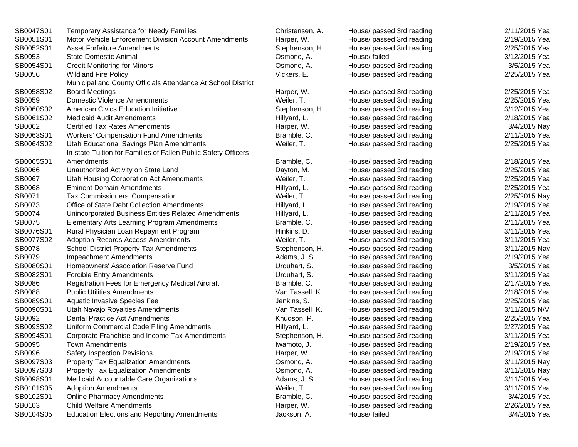| SB0047S01 | <b>Temporary Assistance for Needy Families</b>                 | Christensen, A. | House/ passed 3rd reading | 2/11/2015 Yea |
|-----------|----------------------------------------------------------------|-----------------|---------------------------|---------------|
| SB0051S01 | Motor Vehicle Enforcement Division Account Amendments          | Harper, W.      | House/ passed 3rd reading | 2/19/2015 Yea |
| SB0052S01 | <b>Asset Forfeiture Amendments</b>                             | Stephenson, H.  | House/ passed 3rd reading | 2/25/2015 Yea |
| SB0053    | <b>State Domestic Animal</b>                                   | Osmond, A.      | House/ failed             | 3/12/2015 Yea |
| SB0054S01 | <b>Credit Monitoring for Minors</b>                            | Osmond, A.      | House/ passed 3rd reading | 3/5/2015 Yea  |
| SB0056    | <b>Wildland Fire Policy</b>                                    | Vickers, E.     | House/ passed 3rd reading | 2/25/2015 Yea |
|           | Municipal and County Officials Attendance At School District   |                 |                           |               |
| SB0058S02 | <b>Board Meetings</b>                                          | Harper, W.      | House/ passed 3rd reading | 2/25/2015 Yea |
| SB0059    | <b>Domestic Violence Amendments</b>                            | Weiler, T.      | House/ passed 3rd reading | 2/25/2015 Yea |
| SB0060S02 | <b>American Civics Education Initiative</b>                    | Stephenson, H.  | House/ passed 3rd reading | 3/12/2015 Yea |
| SB0061S02 | <b>Medicaid Audit Amendments</b>                               | Hillyard, L.    | House/ passed 3rd reading | 2/18/2015 Yea |
| SB0062    | <b>Certified Tax Rates Amendments</b>                          | Harper, W.      | House/ passed 3rd reading | 3/4/2015 Nay  |
| SB0063S01 | <b>Workers' Compensation Fund Amendments</b>                   | Bramble, C.     | House/ passed 3rd reading | 2/11/2015 Yea |
| SB0064S02 | Utah Educational Savings Plan Amendments                       | Weiler, T.      | House/ passed 3rd reading | 2/25/2015 Yea |
|           | In-state Tuition for Families of Fallen Public Safety Officers |                 |                           |               |
| SB0065S01 | Amendments                                                     | Bramble, C.     | House/ passed 3rd reading | 2/18/2015 Yea |
| SB0066    | Unauthorized Activity on State Land                            | Dayton, M.      | House/ passed 3rd reading | 2/25/2015 Yea |
| SB0067    | Utah Housing Corporation Act Amendments                        | Weiler, T.      | House/ passed 3rd reading | 2/25/2015 Yea |
| SB0068    | <b>Eminent Domain Amendments</b>                               | Hillyard, L.    | House/ passed 3rd reading | 2/25/2015 Yea |
| SB0071    | Tax Commissioners' Compensation                                | Weiler, T.      | House/ passed 3rd reading | 2/25/2015 Nay |
| SB0073    | Office of State Debt Collection Amendments                     | Hillyard, L.    | House/ passed 3rd reading | 2/19/2015 Yea |
| SB0074    | Unincorporated Business Entities Related Amendments            | Hillyard, L.    | House/ passed 3rd reading | 2/11/2015 Yea |
| SB0075    | Elementary Arts Learning Program Amendments                    | Bramble, C.     | House/ passed 3rd reading | 2/11/2015 Yea |
| SB0076S01 | Rural Physician Loan Repayment Program                         | Hinkins, D.     | House/ passed 3rd reading | 3/11/2015 Yea |
| SB0077S02 | <b>Adoption Records Access Amendments</b>                      | Weiler, T.      | House/ passed 3rd reading | 3/11/2015 Yea |
| SB0078    | <b>School District Property Tax Amendments</b>                 | Stephenson, H.  | House/ passed 3rd reading | 3/11/2015 Nay |
| SB0079    | Impeachment Amendments                                         | Adams, J. S.    | House/ passed 3rd reading | 2/19/2015 Yea |
| SB0080S01 | Homeowners' Association Reserve Fund                           | Urquhart, S.    | House/ passed 3rd reading | 3/5/2015 Yea  |
| SB0082S01 | <b>Forcible Entry Amendments</b>                               | Urquhart, S.    | House/ passed 3rd reading | 3/11/2015 Yea |
| SB0086    | Registration Fees for Emergency Medical Aircraft               | Bramble, C.     | House/ passed 3rd reading | 2/17/2015 Yea |
| SB0088    | <b>Public Utilities Amendments</b>                             | Van Tassell, K. | House/ passed 3rd reading | 2/18/2015 Yea |
| SB0089S01 | Aquatic Invasive Species Fee                                   | Jenkins, S.     | House/ passed 3rd reading | 2/25/2015 Yea |
| SB0090S01 | Utah Navajo Royalties Amendments                               | Van Tassell, K. | House/ passed 3rd reading | 3/11/2015 N/V |
| SB0092    | <b>Dental Practice Act Amendments</b>                          | Knudson, P.     | House/ passed 3rd reading | 2/25/2015 Yea |
| SB0093S02 | Uniform Commercial Code Filing Amendments                      | Hillyard, L.    | House/ passed 3rd reading | 2/27/2015 Yea |
| SB0094S01 | Corporate Franchise and Income Tax Amendments                  | Stephenson, H.  | House/ passed 3rd reading | 3/11/2015 Yea |
| SB0095    | <b>Town Amendments</b>                                         | Iwamoto, J.     | House/ passed 3rd reading | 2/19/2015 Yea |
| SB0096    | Safety Inspection Revisions                                    | Harper, W.      | House/ passed 3rd reading | 2/19/2015 Yea |
| SB0097S03 | <b>Property Tax Equalization Amendments</b>                    | Osmond, A.      | House/ passed 3rd reading | 3/11/2015 Nay |
| SB0097S03 | <b>Property Tax Equalization Amendments</b>                    | Osmond, A.      | House/ passed 3rd reading | 3/11/2015 Nay |
| SB0098S01 | Medicaid Accountable Care Organizations                        | Adams, J. S.    | House/ passed 3rd reading | 3/11/2015 Yea |
| SB0101S05 | <b>Adoption Amendments</b>                                     | Weiler, T.      | House/ passed 3rd reading | 3/11/2015 Yea |
| SB0102S01 | <b>Online Pharmacy Amendments</b>                              | Bramble, C.     | House/ passed 3rd reading | 3/4/2015 Yea  |
| SB0103    | <b>Child Welfare Amendments</b>                                | Harper, W.      | House/ passed 3rd reading | 2/26/2015 Yea |
| SB0104S05 | <b>Education Elections and Reporting Amendments</b>            | Jackson, A.     | House/ failed             | 3/4/2015 Yea  |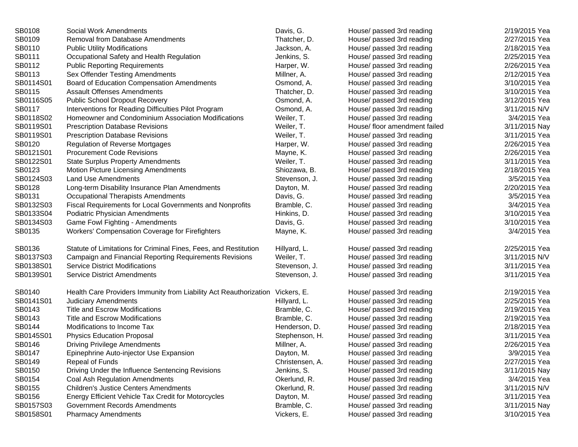| SB0108    | Social Work Amendments                                                        | Davis, G.       | House/ passed 3rd reading     | 2/19/2015 Yea |
|-----------|-------------------------------------------------------------------------------|-----------------|-------------------------------|---------------|
| SB0109    | Removal from Database Amendments                                              | Thatcher, D.    | House/ passed 3rd reading     | 2/27/2015 Yea |
| SB0110    | <b>Public Utility Modifications</b>                                           | Jackson, A.     | House/ passed 3rd reading     | 2/18/2015 Yea |
| SB0111    | Occupational Safety and Health Regulation                                     | Jenkins, S.     | House/ passed 3rd reading     | 2/25/2015 Yea |
| SB0112    | <b>Public Reporting Requirements</b>                                          | Harper, W.      | House/ passed 3rd reading     | 2/26/2015 Yea |
| SB0113    | Sex Offender Testing Amendments                                               | Millner, A.     | House/ passed 3rd reading     | 2/12/2015 Yea |
| SB0114S01 | Board of Education Compensation Amendments                                    | Osmond, A.      | House/ passed 3rd reading     | 3/10/2015 Yea |
| SB0115    | <b>Assault Offenses Amendments</b>                                            | Thatcher, D.    | House/ passed 3rd reading     | 3/10/2015 Yea |
| SB0116S05 | Public School Dropout Recovery                                                | Osmond, A.      | House/ passed 3rd reading     | 3/12/2015 Yea |
| SB0117    | Interventions for Reading Difficulties Pilot Program                          | Osmond, A.      | House/ passed 3rd reading     | 3/11/2015 N/V |
| SB0118S02 | Homeowner and Condominium Association Modifications                           | Weiler, T.      | House/ passed 3rd reading     | 3/4/2015 Yea  |
| SB0119S01 | <b>Prescription Database Revisions</b>                                        | Weiler, T.      | House/ floor amendment failed | 3/11/2015 Nay |
| SB0119S01 | <b>Prescription Database Revisions</b>                                        | Weiler, T.      | House/ passed 3rd reading     | 3/11/2015 Yea |
| SB0120    | <b>Regulation of Reverse Mortgages</b>                                        | Harper, W.      | House/ passed 3rd reading     | 2/26/2015 Yea |
| SB0121S01 | <b>Procurement Code Revisions</b>                                             | Mayne, K.       | House/ passed 3rd reading     | 2/26/2015 Yea |
| SB0122S01 | <b>State Surplus Property Amendments</b>                                      | Weiler, T.      | House/ passed 3rd reading     | 3/11/2015 Yea |
| SB0123    | <b>Motion Picture Licensing Amendments</b>                                    | Shiozawa, B.    | House/ passed 3rd reading     | 2/18/2015 Yea |
| SB0124S03 | <b>Land Use Amendments</b>                                                    | Stevenson, J.   | House/ passed 3rd reading     | 3/5/2015 Yea  |
| SB0128    | Long-term Disability Insurance Plan Amendments                                | Dayton, M.      | House/ passed 3rd reading     | 2/20/2015 Yea |
| SB0131    | Occupational Therapists Amendments                                            | Davis, G.       | House/ passed 3rd reading     | 3/5/2015 Yea  |
| SB0132S03 | Fiscal Requirements for Local Governments and Nonprofits                      | Bramble, C.     | House/ passed 3rd reading     | 3/4/2015 Yea  |
| SB0133S04 | Podiatric Physician Amendments                                                | Hinkins, D.     | House/ passed 3rd reading     | 3/10/2015 Yea |
| SB0134S03 | Game Fowl Fighting - Amendments                                               | Davis, G.       | House/ passed 3rd reading     | 3/10/2015 Yea |
| SB0135    | Workers' Compensation Coverage for Firefighters                               | Mayne, K.       | House/ passed 3rd reading     | 3/4/2015 Yea  |
| SB0136    | Statute of Limitations for Criminal Fines, Fees, and Restitution              | Hillyard, L.    | House/ passed 3rd reading     | 2/25/2015 Yea |
| SB0137S03 | Campaign and Financial Reporting Requirements Revisions                       | Weiler, T.      | House/ passed 3rd reading     | 3/11/2015 N/V |
| SB0138S01 | <b>Service District Modifications</b>                                         | Stevenson, J.   | House/ passed 3rd reading     | 3/11/2015 Yea |
| SB0139S01 | <b>Service District Amendments</b>                                            | Stevenson, J.   | House/ passed 3rd reading     | 3/11/2015 Yea |
| SB0140    | Health Care Providers Immunity from Liability Act Reauthorization Vickers, E. |                 | House/ passed 3rd reading     | 2/19/2015 Yea |
| SB0141S01 | <b>Judiciary Amendments</b>                                                   | Hillyard, L.    | House/ passed 3rd reading     | 2/25/2015 Yea |
| SB0143    | <b>Title and Escrow Modifications</b>                                         | Bramble, C.     | House/ passed 3rd reading     | 2/19/2015 Yea |
| SB0143    | <b>Title and Escrow Modifications</b>                                         | Bramble, C.     | House/ passed 3rd reading     | 2/19/2015 Yea |
| SB0144    | Modifications to Income Tax                                                   | Henderson, D.   | House/ passed 3rd reading     | 2/18/2015 Yea |
| SB0145S01 | <b>Physics Education Proposal</b>                                             | Stephenson, H.  | House/ passed 3rd reading     | 3/11/2015 Yea |
| SB0146    | <b>Driving Privilege Amendments</b>                                           | Millner, A.     | House/ passed 3rd reading     | 2/26/2015 Yea |
| SB0147    | Epinephrine Auto-injector Use Expansion                                       | Dayton, M.      | House/ passed 3rd reading     | 3/9/2015 Yea  |
| SB0149    | Repeal of Funds                                                               | Christensen, A. | House/ passed 3rd reading     | 2/27/2015 Yea |
| SB0150    | Driving Under the Influence Sentencing Revisions                              | Jenkins, S.     | House/ passed 3rd reading     | 3/11/2015 Nay |
| SB0154    | Coal Ash Regulation Amendments                                                | Okerlund, R.    | House/ passed 3rd reading     | 3/4/2015 Yea  |
| SB0155    | <b>Children's Justice Centers Amendments</b>                                  | Okerlund, R.    | House/ passed 3rd reading     | 3/11/2015 N/V |
| SB0156    | Energy Efficient Vehicle Tax Credit for Motorcycles                           | Dayton, M.      | House/ passed 3rd reading     | 3/11/2015 Yea |
| SB0157S03 | <b>Government Records Amendments</b>                                          | Bramble, C.     | House/ passed 3rd reading     | 3/11/2015 Nay |
| SB0158S01 | <b>Pharmacy Amendments</b>                                                    | Vickers, E.     | House/ passed 3rd reading     | 3/10/2015 Yea |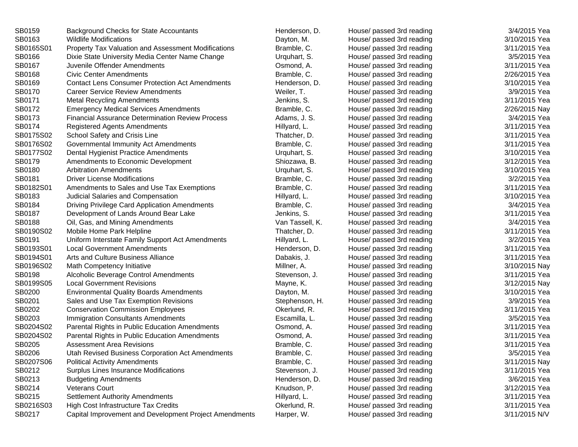| SB0159    | Background Checks for State Accountants                 | Henderson, D.   | House/ passed 3rd reading | 3/4/2015 Yea  |
|-----------|---------------------------------------------------------|-----------------|---------------------------|---------------|
| SB0163    | <b>Wildlife Modifications</b>                           | Dayton, M.      | House/ passed 3rd reading | 3/10/2015 Yea |
| SB0165S01 | Property Tax Valuation and Assessment Modifications     | Bramble, C.     | House/ passed 3rd reading | 3/11/2015 Yea |
| SB0166    | Dixie State University Media Center Name Change         | Urquhart, S.    | House/ passed 3rd reading | 3/5/2015 Yea  |
| SB0167    | Juvenile Offender Amendments                            | Osmond, A.      | House/ passed 3rd reading | 3/11/2015 Yea |
| SB0168    | <b>Civic Center Amendments</b>                          | Bramble, C.     | House/ passed 3rd reading | 2/26/2015 Yea |
| SB0169    | <b>Contact Lens Consumer Protection Act Amendments</b>  | Henderson, D.   | House/ passed 3rd reading | 3/10/2015 Yea |
| SB0170    | <b>Career Service Review Amendments</b>                 | Weiler, T.      | House/ passed 3rd reading | 3/9/2015 Yea  |
| SB0171    | <b>Metal Recycling Amendments</b>                       | Jenkins, S.     | House/ passed 3rd reading | 3/11/2015 Yea |
| SB0172    | <b>Emergency Medical Services Amendments</b>            | Bramble, C.     | House/ passed 3rd reading | 2/26/2015 Nay |
| SB0173    | <b>Financial Assurance Determination Review Process</b> | Adams, J. S.    | House/ passed 3rd reading | 3/4/2015 Yea  |
| SB0174    | <b>Registered Agents Amendments</b>                     | Hillyard, L.    | House/ passed 3rd reading | 3/11/2015 Yea |
| SB0175S02 | School Safety and Crisis Line                           | Thatcher, D.    | House/ passed 3rd reading | 3/11/2015 Yea |
| SB0176S02 | Governmental Immunity Act Amendments                    | Bramble, C.     | House/ passed 3rd reading | 3/11/2015 Yea |
| SB0177S02 | Dental Hygienist Practice Amendments                    | Urquhart, S.    | House/ passed 3rd reading | 3/10/2015 Yea |
| SB0179    | Amendments to Economic Development                      | Shiozawa, B.    | House/ passed 3rd reading | 3/12/2015 Yea |
| SB0180    | <b>Arbitration Amendments</b>                           | Urquhart, S.    | House/ passed 3rd reading | 3/10/2015 Yea |
| SB0181    | <b>Driver License Modifications</b>                     | Bramble, C.     | House/ passed 3rd reading | 3/2/2015 Yea  |
| SB0182S01 | Amendments to Sales and Use Tax Exemptions              | Bramble, C.     | House/ passed 3rd reading | 3/11/2015 Yea |
| SB0183    | Judicial Salaries and Compensation                      | Hillyard, L.    | House/ passed 3rd reading | 3/10/2015 Yea |
| SB0184    | Driving Privilege Card Application Amendments           | Bramble, C.     | House/ passed 3rd reading | 3/4/2015 Yea  |
| SB0187    | Development of Lands Around Bear Lake                   | Jenkins, S.     | House/ passed 3rd reading | 3/11/2015 Yea |
| SB0188    | Oil, Gas, and Mining Amendments                         | Van Tassell, K. | House/ passed 3rd reading | 3/4/2015 Yea  |
| SB0190S02 | Mobile Home Park Helpline                               | Thatcher, D.    | House/ passed 3rd reading | 3/11/2015 Yea |
| SB0191    | Uniform Interstate Family Support Act Amendments        | Hillyard, L.    | House/ passed 3rd reading | 3/2/2015 Yea  |
| SB0193S01 | <b>Local Government Amendments</b>                      | Henderson, D.   | House/ passed 3rd reading | 3/11/2015 Yea |
| SB0194S01 | Arts and Culture Business Alliance                      | Dabakis, J.     | House/ passed 3rd reading | 3/11/2015 Yea |
| SB0196S02 | Math Competency Initiative                              | Millner, A.     | House/ passed 3rd reading | 3/10/2015 Nay |
| SB0198    | Alcoholic Beverage Control Amendments                   | Stevenson, J.   | House/ passed 3rd reading | 3/11/2015 Yea |
| SB0199S05 | <b>Local Government Revisions</b>                       | Mayne, K.       | House/ passed 3rd reading | 3/12/2015 Nay |
| SB0200    | <b>Environmental Quality Boards Amendments</b>          | Dayton, M.      | House/ passed 3rd reading | 3/10/2015 Yea |
| SB0201    | Sales and Use Tax Exemption Revisions                   | Stephenson, H.  | House/ passed 3rd reading | 3/9/2015 Yea  |
| SB0202    | <b>Conservation Commission Employees</b>                | Okerlund, R.    | House/ passed 3rd reading | 3/11/2015 Yea |
| SB0203    | <b>Immigration Consultants Amendments</b>               | Escamilla, L.   | House/ passed 3rd reading | 3/5/2015 Yea  |
| SB0204S02 | Parental Rights in Public Education Amendments          | Osmond, A.      | House/ passed 3rd reading | 3/11/2015 Yea |
| SB0204S02 | Parental Rights in Public Education Amendments          | Osmond, A.      | House/ passed 3rd reading | 3/11/2015 Yea |
| SB0205    | <b>Assessment Area Revisions</b>                        | Bramble, C.     | House/ passed 3rd reading | 3/11/2015 Yea |
| SB0206    | Utah Revised Business Corporation Act Amendments        | Bramble, C.     | House/ passed 3rd reading | 3/5/2015 Yea  |
| SB0207S06 | <b>Political Activity Amendments</b>                    | Bramble, C.     | House/ passed 3rd reading | 3/11/2015 Nay |
| SB0212    | Surplus Lines Insurance Modifications                   | Stevenson, J.   | House/ passed 3rd reading | 3/11/2015 Yea |
| SB0213    | <b>Budgeting Amendments</b>                             | Henderson, D.   | House/ passed 3rd reading | 3/6/2015 Yea  |
| SB0214    | <b>Veterans Court</b>                                   | Knudson, P.     | House/ passed 3rd reading | 3/12/2015 Yea |
| SB0215    | <b>Settlement Authority Amendments</b>                  | Hillyard, L.    | House/ passed 3rd reading | 3/11/2015 Yea |
| SB0216S03 | High Cost Infrastructure Tax Credits                    | Okerlund, R.    | House/ passed 3rd reading | 3/11/2015 Yea |
| SB0217    | Capital Improvement and Development Project Amendments  | Harper, W.      | House/ passed 3rd reading | 3/11/2015 N/V |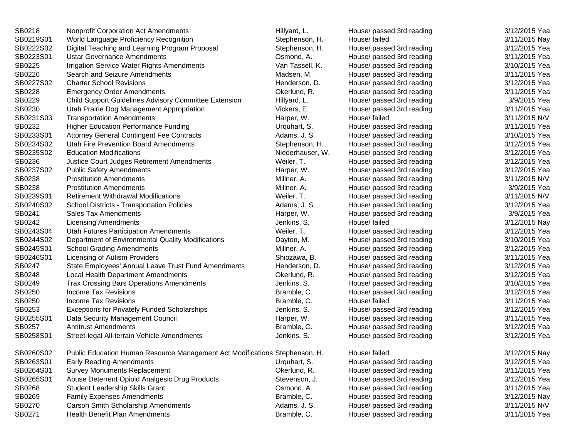| SB0218    | <b>Nonprofit Corporation Act Amendments</b>                                 | Hillyard, L.     | House/ passed 3rd reading | 3/12/2015 Yea |
|-----------|-----------------------------------------------------------------------------|------------------|---------------------------|---------------|
| SB0219S01 | World Language Proficiency Recognition                                      | Stephenson, H.   | House/ failed             | 3/11/2015 Nay |
| SB0222S02 | Digital Teaching and Learning Program Proposal                              | Stephenson, H.   | House/ passed 3rd reading | 3/12/2015 Yea |
| SB0223S01 | <b>Ustar Governance Amendments</b>                                          | Osmond, A.       | House/ passed 3rd reading | 3/11/2015 Yea |
| SB0225    | Irrigation Service Water Rights Amendments                                  | Van Tassell, K.  | House/ passed 3rd reading | 3/10/2015 Yea |
| SB0226    | Search and Seizure Amendments                                               | Madsen, M.       | House/ passed 3rd reading | 3/11/2015 Yea |
| SB0227S02 | <b>Charter School Revisions</b>                                             | Henderson, D.    | House/ passed 3rd reading | 3/12/2015 Yea |
| SB0228    | <b>Emergency Order Amendments</b>                                           | Okerlund, R.     | House/ passed 3rd reading | 3/11/2015 Yea |
| SB0229    | Child Support Guidelines Advisory Committee Extension                       | Hillyard, L.     | House/ passed 3rd reading | 3/9/2015 Yea  |
| SB0230    | Utah Prairie Dog Management Appropriation                                   | Vickers, E.      | House/ passed 3rd reading | 3/11/2015 Yea |
| SB0231S03 | <b>Transportation Amendments</b>                                            | Harper, W.       | House/ failed             | 3/11/2015 N/V |
| SB0232    | <b>Higher Education Performance Funding</b>                                 | Urquhart, S.     | House/ passed 3rd reading | 3/11/2015 Yea |
| SB0233S01 | <b>Attorney General Contingent Fee Contracts</b>                            | Adams, J. S.     | House/ passed 3rd reading | 3/10/2015 Yea |
| SB0234S02 | Utah Fire Prevention Board Amendments                                       | Stephenson, H.   | House/ passed 3rd reading | 3/12/2015 Yea |
| SB0235S02 | <b>Education Modifications</b>                                              | Niederhauser, W. | House/ passed 3rd reading | 3/12/2015 Yea |
| SB0236    | Justice Court Judges Retirement Amendments                                  | Weiler, T.       | House/ passed 3rd reading | 3/12/2015 Yea |
| SB0237S02 | <b>Public Safety Amendments</b>                                             | Harper, W.       | House/ passed 3rd reading | 3/12/2015 Yea |
| SB0238    | <b>Prostitution Amendments</b>                                              | Millner, A.      | House/ passed 3rd reading | 3/11/2015 N/V |
| SB0238    | <b>Prostitution Amendments</b>                                              | Millner, A.      | House/ passed 3rd reading | 3/9/2015 Yea  |
| SB0239S01 | <b>Retirement Withdrawal Modifications</b>                                  | Weiler, T.       | House/ passed 3rd reading | 3/11/2015 N/V |
| SB0240S02 | School Districts - Transportation Policies                                  | Adams, J. S.     | House/ passed 3rd reading | 3/12/2015 Yea |
| SB0241    | <b>Sales Tax Amendments</b>                                                 | Harper, W.       | House/ passed 3rd reading | 3/9/2015 Yea  |
| SB0242    | <b>Licensing Amendments</b>                                                 | Jenkins, S.      | House/ failed             | 3/12/2015 Nay |
| SB0243S04 | <b>Utah Futures Participation Amendments</b>                                | Weiler, T.       | House/ passed 3rd reading | 3/12/2015 Yea |
| SB0244S02 | Department of Environmental Quality Modifications                           | Dayton, M.       | House/ passed 3rd reading | 3/10/2015 Yea |
| SB0245S01 | <b>School Grading Amendments</b>                                            | Millner, A.      | House/ passed 3rd reading | 3/12/2015 Yea |
| SB0246S01 | Licensing of Autism Providers                                               | Shiozawa, B.     | House/ passed 3rd reading | 3/11/2015 Yea |
| SB0247    | State Employees' Annual Leave Trust Fund Amendments                         | Henderson, D.    | House/ passed 3rd reading | 3/12/2015 Yea |
| SB0248    | Local Health Department Amendments                                          | Okerlund, R.     | House/ passed 3rd reading | 3/12/2015 Yea |
| SB0249    | <b>Trax Crossing Bars Operations Amendments</b>                             | Jenkins, S.      | House/ passed 3rd reading | 3/10/2015 Yea |
| SB0250    | Income Tax Revisions                                                        | Bramble, C.      | House/ passed 3rd reading | 3/12/2015 Yea |
| SB0250    | Income Tax Revisions                                                        | Bramble, C.      | House/ failed             | 3/11/2015 Yea |
| SB0253    | <b>Exceptions for Privately Funded Scholarships</b>                         | Jenkins, S.      | House/ passed 3rd reading | 3/12/2015 Yea |
| SB0255S01 | Data Security Management Council                                            | Harper, W.       | House/ passed 3rd reading | 3/11/2015 Yea |
| SB0257    | <b>Antitrust Amendments</b>                                                 | Bramble, C.      | House/ passed 3rd reading | 3/12/2015 Yea |
| SB0258S01 | Street-legal All-terrain Vehicle Amendments                                 | Jenkins, S.      | House/ passed 3rd reading | 3/12/2015 Yea |
| SB0260S02 | Public Education Human Resource Management Act Modifications Stephenson, H. |                  | House/ failed             | 3/12/2015 Nay |
| SB0263S01 | <b>Early Reading Amendments</b>                                             | Urquhart, S.     | House/ passed 3rd reading | 3/12/2015 Yea |
| SB0264S01 | <b>Survey Monuments Replacement</b>                                         | Okerlund, R.     | House/ passed 3rd reading | 3/11/2015 Yea |
| SB0265S01 | Abuse Deterrent Opioid Analgesic Drug Products                              | Stevenson, J.    | House/ passed 3rd reading | 3/12/2015 Yea |
| SB0268    | Student Leadership Skills Grant                                             | Osmond, A.       | House/ passed 3rd reading | 3/11/2015 Yea |
| SB0269    | <b>Family Expenses Amendments</b>                                           | Bramble, C.      | House/ passed 3rd reading | 3/12/2015 Nay |
| SB0270    | Carson Smith Scholarship Amendments                                         | Adams, J. S.     | House/ passed 3rd reading | 3/11/2015 N/V |
| SB0271    | Health Benefit Plan Amendments                                              | Bramble, C.      | House/ passed 3rd reading | 3/11/2015 Yea |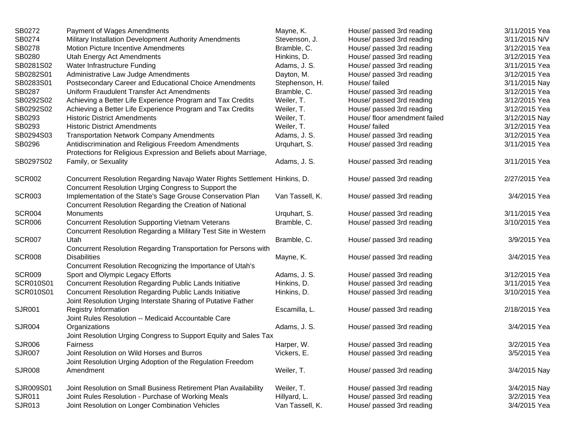| SB0272        | Payment of Wages Amendments                                                                                                        | Mayne, K.       | House/ passed 3rd reading     | 3/11/2015 Yea |
|---------------|------------------------------------------------------------------------------------------------------------------------------------|-----------------|-------------------------------|---------------|
| SB0274        | Military Installation Development Authority Amendments                                                                             | Stevenson, J.   | House/ passed 3rd reading     | 3/11/2015 N/V |
| SB0278        | Motion Picture Incentive Amendments                                                                                                | Bramble, C.     | House/ passed 3rd reading     | 3/12/2015 Yea |
| SB0280        | Utah Energy Act Amendments                                                                                                         | Hinkins, D.     | House/ passed 3rd reading     | 3/12/2015 Yea |
| SB0281S02     | Water Infrastructure Funding                                                                                                       | Adams, J. S.    | House/ passed 3rd reading     | 3/11/2015 Yea |
| SB0282S01     | Administrative Law Judge Amendments                                                                                                | Dayton, M.      | House/ passed 3rd reading     | 3/12/2015 Yea |
| SB0283S01     | Postsecondary Career and Educational Choice Amendments                                                                             | Stephenson, H.  | House/ failed                 | 3/11/2015 Nay |
| SB0287        | Uniform Fraudulent Transfer Act Amendments                                                                                         | Bramble, C.     | House/ passed 3rd reading     | 3/12/2015 Yea |
| SB0292S02     | Achieving a Better Life Experience Program and Tax Credits                                                                         | Weiler, T.      | House/ passed 3rd reading     | 3/12/2015 Yea |
| SB0292S02     | Achieving a Better Life Experience Program and Tax Credits                                                                         | Weiler, T.      | House/ passed 3rd reading     | 3/12/2015 Yea |
| SB0293        | <b>Historic District Amendments</b>                                                                                                | Weiler, T.      | House/ floor amendment failed | 3/12/2015 Nay |
| SB0293        | <b>Historic District Amendments</b>                                                                                                | Weiler, T.      | House/ failed                 | 3/12/2015 Yea |
| SB0294S03     | <b>Transportation Network Company Amendments</b>                                                                                   | Adams, J. S.    | House/ passed 3rd reading     | 3/12/2015 Yea |
| SB0296        | Antidiscrimination and Religious Freedom Amendments<br>Protections for Religious Expression and Beliefs about Marriage,            | Urquhart, S.    | House/ passed 3rd reading     | 3/11/2015 Yea |
| SB0297S02     | Family, or Sexuality                                                                                                               | Adams, J. S.    | House/ passed 3rd reading     | 3/11/2015 Yea |
| SCR002        | Concurrent Resolution Regarding Navajo Water Rights Settlement Hinkins, D.<br>Concurrent Resolution Urging Congress to Support the |                 | House/ passed 3rd reading     | 2/27/2015 Yea |
| <b>SCR003</b> | Implementation of the State's Sage Grouse Conservation Plan<br>Concurrent Resolution Regarding the Creation of National            | Van Tassell, K. | House/ passed 3rd reading     | 3/4/2015 Yea  |
| <b>SCR004</b> | Monuments                                                                                                                          | Urquhart, S.    | House/ passed 3rd reading     | 3/11/2015 Yea |
| SCR006        | <b>Concurrent Resolution Supporting Vietnam Veterans</b><br>Concurrent Resolution Regarding a Military Test Site in Western        | Bramble, C.     | House/ passed 3rd reading     | 3/10/2015 Yea |
| <b>SCR007</b> | Utah<br>Concurrent Resolution Regarding Transportation for Persons with                                                            | Bramble, C.     | House/ passed 3rd reading     | 3/9/2015 Yea  |
| <b>SCR008</b> | <b>Disabilities</b><br>Concurrent Resolution Recognizing the Importance of Utah's                                                  | Mayne, K.       | House/ passed 3rd reading     | 3/4/2015 Yea  |
| <b>SCR009</b> | Sport and Olympic Legacy Efforts                                                                                                   | Adams, J. S.    | House/ passed 3rd reading     | 3/12/2015 Yea |
| SCR010S01     | <b>Concurrent Resolution Regarding Public Lands Initiative</b>                                                                     | Hinkins, D.     | House/ passed 3rd reading     | 3/11/2015 Yea |
| SCR010S01     | <b>Concurrent Resolution Regarding Public Lands Initiative</b><br>Joint Resolution Urging Interstate Sharing of Putative Father    | Hinkins, D.     | House/ passed 3rd reading     | 3/10/2015 Yea |
| SJR001        | <b>Registry Information</b><br>Joint Rules Resolution -- Medicaid Accountable Care                                                 | Escamilla, L.   | House/ passed 3rd reading     | 2/18/2015 Yea |
| SJR004        | Organizations<br>Joint Resolution Urging Congress to Support Equity and Sales Tax                                                  | Adams, J. S.    | House/ passed 3rd reading     | 3/4/2015 Yea  |
| SJR006        | <b>Fairness</b>                                                                                                                    | Harper, W.      | House/ passed 3rd reading     | 3/2/2015 Yea  |
| SJR007        | Joint Resolution on Wild Horses and Burros<br>Joint Resolution Urging Adoption of the Regulation Freedom                           | Vickers, E.     | House/ passed 3rd reading     | 3/5/2015 Yea  |
| <b>SJR008</b> | Amendment                                                                                                                          | Weiler, T.      | House/ passed 3rd reading     | 3/4/2015 Nay  |
| SJR009S01     | Joint Resolution on Small Business Retirement Plan Availability                                                                    | Weiler, T.      | House/ passed 3rd reading     | 3/4/2015 Nay  |
| SJR011        | Joint Rules Resolution - Purchase of Working Meals                                                                                 | Hillyard, L.    | House/ passed 3rd reading     | 3/2/2015 Yea  |
| SJR013        | Joint Resolution on Longer Combination Vehicles                                                                                    | Van Tassell, K. | House/ passed 3rd reading     | 3/4/2015 Yea  |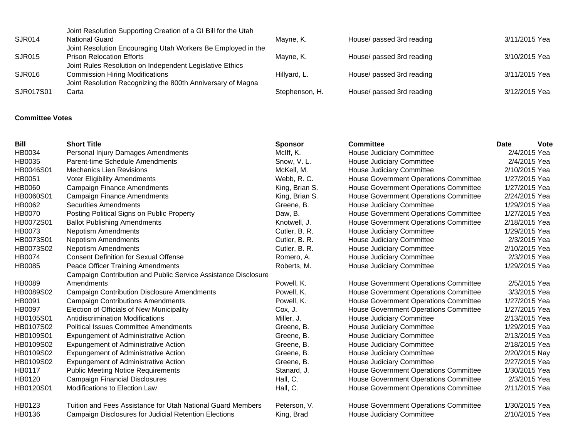| SJR017S01 | Carta                                                                                                                                                   | Stephenson, H. | House/ passed 3rd reading | 3/12/2015 Yea |
|-----------|---------------------------------------------------------------------------------------------------------------------------------------------------------|----------------|---------------------------|---------------|
| SJR016    | <b>Commission Hiring Modifications</b><br>Joint Resolution Recognizing the 800th Anniversary of Magna                                                   | Hillyard, L.   | House/ passed 3rd reading | 3/11/2015 Yea |
| SJR015    | <b>Prison Relocation Efforts</b><br>Joint Rules Resolution on Independent Legislative Ethics                                                            | Mayne, K.      | House/ passed 3rd reading | 3/10/2015 Yea |
| SJR014    | Joint Resolution Supporting Creation of a GI Bill for the Utah<br><b>National Guard</b><br>Joint Resolution Encouraging Utah Workers Be Employed in the | Mayne, K.      | House/ passed 3rd reading | 3/11/2015 Yea |

## **Committee Votes**

| <b>Bill</b>   | <b>Short Title</b>                                             | <b>Sponsor</b> | <b>Committee</b>                             | <b>Date</b>   | <b>Vote</b> |
|---------------|----------------------------------------------------------------|----------------|----------------------------------------------|---------------|-------------|
| HB0034        | Personal Injury Damages Amendments                             | McIff, K.      | House Judiciary Committee                    | 2/4/2015 Yea  |             |
| HB0035        | Parent-time Schedule Amendments                                | Snow, V.L.     | House Judiciary Committee                    | 2/4/2015 Yea  |             |
| HB0046S01     | <b>Mechanics Lien Revisions</b>                                | McKell, M.     | House Judiciary Committee                    | 2/10/2015 Yea |             |
| <b>HB0051</b> | <b>Voter Eligibility Amendments</b>                            | Webb, R.C.     | <b>House Government Operations Committee</b> | 1/27/2015 Yea |             |
| <b>HB0060</b> | <b>Campaign Finance Amendments</b>                             | King, Brian S. | <b>House Government Operations Committee</b> | 1/27/2015 Yea |             |
| HB0060S01     | <b>Campaign Finance Amendments</b>                             | King, Brian S. | <b>House Government Operations Committee</b> | 2/24/2015 Yea |             |
| HB0062        | <b>Securities Amendments</b>                                   | Greene, B.     | House Judiciary Committee                    | 1/29/2015 Yea |             |
| <b>HB0070</b> | Posting Political Signs on Public Property                     | Daw, B.        | House Government Operations Committee        | 1/27/2015 Yea |             |
| HB0072S01     | <b>Ballot Publishing Amendments</b>                            | Knotwell, J.   | <b>House Government Operations Committee</b> | 2/18/2015 Yea |             |
| HB0073        | <b>Nepotism Amendments</b>                                     | Cutler, B. R.  | House Judiciary Committee                    | 1/29/2015 Yea |             |
| HB0073S01     | <b>Nepotism Amendments</b>                                     | Cutler, B. R.  | House Judiciary Committee                    | 2/3/2015 Yea  |             |
| HB0073S02     | <b>Nepotism Amendments</b>                                     | Cutler, B. R.  | House Judiciary Committee                    | 2/10/2015 Yea |             |
| <b>HB0074</b> | <b>Consent Definition for Sexual Offense</b>                   | Romero, A.     | House Judiciary Committee                    | 2/3/2015 Yea  |             |
| HB0085        | Peace Officer Training Amendments                              | Roberts, M.    | <b>House Judiciary Committee</b>             | 1/29/2015 Yea |             |
|               | Campaign Contribution and Public Service Assistance Disclosure |                |                                              |               |             |
| HB0089        | Amendments                                                     | Powell, K.     | House Government Operations Committee        | 2/5/2015 Yea  |             |
| HB0089S02     | <b>Campaign Contribution Disclosure Amendments</b>             | Powell, K.     | <b>House Government Operations Committee</b> | 3/3/2015 Yea  |             |
| HB0091        | <b>Campaign Contributions Amendments</b>                       | Powell, K.     | <b>House Government Operations Committee</b> | 1/27/2015 Yea |             |
| <b>HB0097</b> | Election of Officials of New Municipality                      | Cox, J.        | <b>House Government Operations Committee</b> | 1/27/2015 Yea |             |
| HB0105S01     | Antidiscrimination Modifications                               | Miller, J.     | <b>House Judiciary Committee</b>             | 2/13/2015 Yea |             |
| HB0107S02     | <b>Political Issues Committee Amendments</b>                   | Greene, B.     | House Judiciary Committee                    | 1/29/2015 Yea |             |
| HB0109S01     | Expungement of Administrative Action                           | Greene, B.     | House Judiciary Committee                    | 2/13/2015 Yea |             |
| HB0109S02     | Expungement of Administrative Action                           | Greene, B.     | House Judiciary Committee                    | 2/18/2015 Yea |             |
| HB0109S02     | Expungement of Administrative Action                           | Greene, B.     | House Judiciary Committee                    | 2/20/2015 Nay |             |
| HB0109S02     | Expungement of Administrative Action                           | Greene, B.     | House Judiciary Committee                    | 2/27/2015 Yea |             |
| HB0117        | <b>Public Meeting Notice Requirements</b>                      | Stanard, J.    | <b>House Government Operations Committee</b> | 1/30/2015 Yea |             |
| HB0120        | <b>Campaign Financial Disclosures</b>                          | Hall, C.       | <b>House Government Operations Committee</b> | 2/3/2015 Yea  |             |
| HB0120S01     | Modifications to Election Law                                  | Hall, C.       | House Government Operations Committee        | 2/11/2015 Yea |             |
| HB0123        | Tuition and Fees Assistance for Utah National Guard Members    | Peterson, V.   | <b>House Government Operations Committee</b> | 1/30/2015 Yea |             |
| HB0136        | Campaign Disclosures for Judicial Retention Elections          | King, Brad     | House Judiciary Committee                    | 2/10/2015 Yea |             |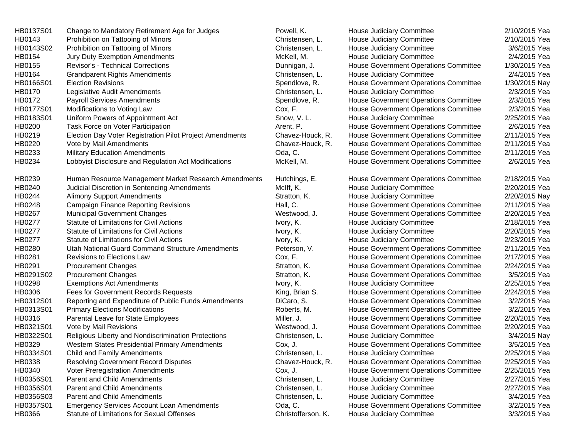| HB0137S01 | Change to Mandatory Retirement Age for Judges            | Powell, K.         | House Judiciary Committee                    | 2/10/2015 Yea |
|-----------|----------------------------------------------------------|--------------------|----------------------------------------------|---------------|
| HB0143    | Prohibition on Tattooing of Minors                       | Christensen, L.    | House Judiciary Committee                    | 2/10/2015 Yea |
| HB0143S02 | Prohibition on Tattooing of Minors                       | Christensen, L.    | House Judiciary Committee                    | 3/6/2015 Yea  |
| HB0154    | Jury Duty Exemption Amendments                           | McKell, M.         | House Judiciary Committee                    | 2/4/2015 Yea  |
| HB0155    | Revisor's - Technical Corrections                        | Dunnigan, J.       | House Government Operations Committee        | 1/30/2015 Yea |
| HB0164    | <b>Grandparent Rights Amendments</b>                     | Christensen, L.    | House Judiciary Committee                    | 2/4/2015 Yea  |
| HB0166S01 | <b>Election Revisions</b>                                | Spendlove, R.      | House Government Operations Committee        | 1/30/2015 Nay |
| HB0170    | Legislative Audit Amendments                             | Christensen, L.    | House Judiciary Committee                    | 2/3/2015 Yea  |
| HB0172    | <b>Payroll Services Amendments</b>                       | Spendlove, R.      | House Government Operations Committee        | 2/3/2015 Yea  |
| HB0177S01 | Modifications to Voting Law                              | Cox, F.            | House Government Operations Committee        | 2/3/2015 Yea  |
| HB0183S01 | Uniform Powers of Appointment Act                        | Snow, V.L.         | House Judiciary Committee                    | 2/25/2015 Yea |
| HB0200    | Task Force on Voter Participation                        | Arent, P.          | <b>House Government Operations Committee</b> | 2/6/2015 Yea  |
| HB0219    | Election Day Voter Registration Pilot Project Amendments | Chavez-Houck, R.   | <b>House Government Operations Committee</b> | 2/11/2015 Yea |
| HB0220    | Vote by Mail Amendments                                  | Chavez-Houck, R.   | House Government Operations Committee        | 2/11/2015 Yea |
| HB0233    | <b>Military Education Amendments</b>                     | Oda, C.            | House Government Operations Committee        | 2/11/2015 Yea |
| HB0234    | Lobbyist Disclosure and Regulation Act Modifications     | McKell, M.         | House Government Operations Committee        | 2/6/2015 Yea  |
| HB0239    | Human Resource Management Market Research Amendments     | Hutchings, E.      | <b>House Government Operations Committee</b> | 2/18/2015 Yea |
| HB0240    | Judicial Discretion in Sentencing Amendments             | McIff, K.          | House Judiciary Committee                    | 2/20/2015 Yea |
| HB0244    | <b>Alimony Support Amendments</b>                        | Stratton, K.       | House Judiciary Committee                    | 2/20/2015 Nay |
| HB0248    | <b>Campaign Finance Reporting Revisions</b>              | Hall, C.           | House Government Operations Committee        | 2/11/2015 Yea |
| HB0267    | <b>Municipal Government Changes</b>                      | Westwood, J.       | House Government Operations Committee        | 2/20/2015 Yea |
| HB0277    | Statute of Limitations for Civil Actions                 | Ivory, K.          | House Judiciary Committee                    | 2/18/2015 Yea |
| HB0277    | Statute of Limitations for Civil Actions                 | Ivory, K.          | House Judiciary Committee                    | 2/20/2015 Yea |
| HB0277    | Statute of Limitations for Civil Actions                 | Ivory, K.          | House Judiciary Committee                    | 2/23/2015 Yea |
| HB0280    | Utah National Guard Command Structure Amendments         | Peterson, V.       | House Government Operations Committee        | 2/11/2015 Yea |
| HB0281    | Revisions to Elections Law                               | Cox, F.            | House Government Operations Committee        | 2/17/2015 Yea |
| HB0291    | <b>Procurement Changes</b>                               | Stratton, K.       | <b>House Government Operations Committee</b> | 2/24/2015 Yea |
| HB0291S02 | <b>Procurement Changes</b>                               | Stratton, K.       | House Government Operations Committee        | 3/5/2015 Yea  |
| HB0298    | <b>Exemptions Act Amendments</b>                         | Ivory, K.          | House Judiciary Committee                    | 2/25/2015 Yea |
| HB0306    | Fees for Government Records Requests                     | King, Brian S.     | House Government Operations Committee        | 2/24/2015 Yea |
| HB0312S01 | Reporting and Expenditure of Public Funds Amendments     | DiCaro, S.         | House Government Operations Committee        | 3/2/2015 Yea  |
| HB0313S01 | <b>Primary Elections Modifications</b>                   | Roberts, M.        | House Government Operations Committee        | 3/2/2015 Yea  |
| HB0316    | Parental Leave for State Employees                       | Miller, J.         | House Government Operations Committee        | 2/20/2015 Yea |
| HB0321S01 | Vote by Mail Revisions                                   | Westwood, J.       | <b>House Government Operations Committee</b> | 2/20/2015 Yea |
| HB0322S01 | Religious Liberty and Nondiscrimination Protections      | Christensen, L.    | House Judiciary Committee                    | 3/4/2015 Nay  |
| HB0329    | Western States Presidential Primary Amendments           | Cox, J.            | House Government Operations Committee        | 3/5/2015 Yea  |
| HB0334S01 | Child and Family Amendments                              | Christensen, L.    | House Judiciary Committee                    | 2/25/2015 Yea |
| HB0338    | Resolving Government Record Disputes                     | Chavez-Houck, R.   | House Government Operations Committee        | 2/25/2015 Yea |
| HB0340    | <b>Voter Preregistration Amendments</b>                  | Cox, J.            | House Government Operations Committee        | 2/25/2015 Yea |
| HB0356S01 | Parent and Child Amendments                              | Christensen, L.    | House Judiciary Committee                    | 2/27/2015 Yea |
| HB0356S01 | <b>Parent and Child Amendments</b>                       | Christensen, L.    | House Judiciary Committee                    | 2/27/2015 Yea |
| HB0356S03 | Parent and Child Amendments                              | Christensen, L.    | House Judiciary Committee                    | 3/4/2015 Yea  |
| HB0357S01 | <b>Emergency Services Account Loan Amendments</b>        | Oda, C.            | House Government Operations Committee        | 3/2/2015 Yea  |
| HB0366    | Statute of Limitations for Sexual Offenses               | Christofferson, K. | House Judiciary Committee                    | 3/3/2015 Yea  |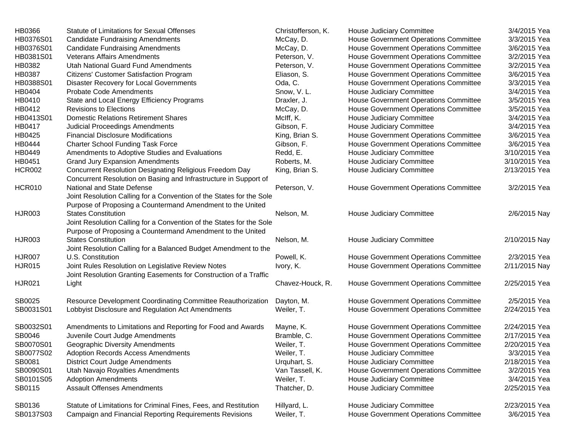| HB0366        | <b>Statute of Limitations for Sexual Offenses</b>                    | Christofferson, K. | House Judiciary Committee                    | 3/4/2015 Yea  |
|---------------|----------------------------------------------------------------------|--------------------|----------------------------------------------|---------------|
| HB0376S01     | <b>Candidate Fundraising Amendments</b>                              | McCay, D.          | House Government Operations Committee        | 3/3/2015 Yea  |
| HB0376S01     | <b>Candidate Fundraising Amendments</b>                              | McCay, D.          | House Government Operations Committee        | 3/6/2015 Yea  |
| HB0381S01     | <b>Veterans Affairs Amendments</b>                                   | Peterson, V.       | House Government Operations Committee        | 3/2/2015 Yea  |
| HB0382        | Utah National Guard Fund Amendments                                  | Peterson, V.       | House Government Operations Committee        | 3/2/2015 Yea  |
| HB0387        | Citizens' Customer Satisfaction Program                              | Eliason, S.        | House Government Operations Committee        | 3/6/2015 Yea  |
| HB0388S01     | Disaster Recovery for Local Governments                              | Oda, C.            | <b>House Government Operations Committee</b> | 3/3/2015 Yea  |
| HB0404        | <b>Probate Code Amendments</b>                                       | Snow, V.L.         | House Judiciary Committee                    | 3/4/2015 Yea  |
| HB0410        | State and Local Energy Efficiency Programs                           | Draxler, J.        | House Government Operations Committee        | 3/5/2015 Yea  |
| HB0412        | <b>Revisions to Elections</b>                                        | McCay, D.          | House Government Operations Committee        | 3/5/2015 Yea  |
| HB0413S01     | <b>Domestic Relations Retirement Shares</b>                          | McIff, K.          | House Judiciary Committee                    | 3/4/2015 Yea  |
| HB0417        | <b>Judicial Proceedings Amendments</b>                               | Gibson, F.         | House Judiciary Committee                    | 3/4/2015 Yea  |
| HB0425        | <b>Financial Disclosure Modifications</b>                            | King, Brian S.     | House Government Operations Committee        | 3/6/2015 Yea  |
| HB0444        | <b>Charter School Funding Task Force</b>                             | Gibson, F.         | House Government Operations Committee        | 3/6/2015 Yea  |
| HB0449        | Amendments to Adoptive Studies and Evaluations                       | Redd, E.           | House Judiciary Committee                    | 3/10/2015 Yea |
| HB0451        | <b>Grand Jury Expansion Amendments</b>                               | Roberts, M.        | House Judiciary Committee                    | 3/10/2015 Yea |
| <b>HCR002</b> | Concurrent Resolution Designating Religious Freedom Day              | King, Brian S.     | House Judiciary Committee                    | 2/13/2015 Yea |
|               | Concurrent Resolution on Basing and Infrastructure in Support of     |                    |                                              |               |
| <b>HCR010</b> | National and State Defense                                           | Peterson, V.       | House Government Operations Committee        | 3/2/2015 Yea  |
|               | Joint Resolution Calling for a Convention of the States for the Sole |                    |                                              |               |
|               | Purpose of Proposing a Countermand Amendment to the United           |                    |                                              |               |
| <b>HJR003</b> | <b>States Constitution</b>                                           | Nelson, M.         | House Judiciary Committee                    | 2/6/2015 Nay  |
|               | Joint Resolution Calling for a Convention of the States for the Sole |                    |                                              |               |
|               | Purpose of Proposing a Countermand Amendment to the United           |                    |                                              |               |
| <b>HJR003</b> | <b>States Constitution</b>                                           | Nelson, M.         | House Judiciary Committee                    | 2/10/2015 Nay |
|               | Joint Resolution Calling for a Balanced Budget Amendment to the      |                    |                                              |               |
| <b>HJR007</b> | U.S. Constitution                                                    | Powell, K.         | House Government Operations Committee        | 2/3/2015 Yea  |
| <b>HJR015</b> | Joint Rules Resolution on Legislative Review Notes                   | Ivory, K.          | House Government Operations Committee        | 2/11/2015 Nay |
|               | Joint Resolution Granting Easements for Construction of a Traffic    |                    |                                              |               |
| <b>HJR021</b> | Light                                                                | Chavez-Houck, R.   | House Government Operations Committee        | 2/25/2015 Yea |
| SB0025        | Resource Development Coordinating Committee Reauthorization          | Dayton, M.         | House Government Operations Committee        | 2/5/2015 Yea  |
| SB0031S01     | Lobbyist Disclosure and Regulation Act Amendments                    | Weiler, T.         | House Government Operations Committee        | 2/24/2015 Yea |
| SB0032S01     | Amendments to Limitations and Reporting for Food and Awards          | Mayne, K.          | House Government Operations Committee        | 2/24/2015 Yea |
| SB0046        | Juvenile Court Judge Amendments                                      | Bramble, C.        | House Government Operations Committee        | 2/17/2015 Yea |
| SB0070S01     | Geographic Diversity Amendments                                      | Weiler, T.         | House Government Operations Committee        | 2/20/2015 Yea |
| SB0077S02     | <b>Adoption Records Access Amendments</b>                            | Weiler, T.         | House Judiciary Committee                    | 3/3/2015 Yea  |
| SB0081        | District Court Judge Amendments                                      | Urquhart, S.       | House Judiciary Committee                    | 2/18/2015 Yea |
| SB0090S01     | Utah Navajo Royalties Amendments                                     | Van Tassell, K.    | House Government Operations Committee        | 3/2/2015 Yea  |
| SB0101S05     | <b>Adoption Amendments</b>                                           | Weiler, T.         | House Judiciary Committee                    | 3/4/2015 Yea  |
| SB0115        | <b>Assault Offenses Amendments</b>                                   | Thatcher, D.       | House Judiciary Committee                    | 2/25/2015 Yea |
| SB0136        | Statute of Limitations for Criminal Fines, Fees, and Restitution     | Hillyard, L.       | House Judiciary Committee                    | 2/23/2015 Yea |
| SB0137S03     | Campaign and Financial Reporting Requirements Revisions              | Weiler, T.         | House Government Operations Committee        | 3/6/2015 Yea  |